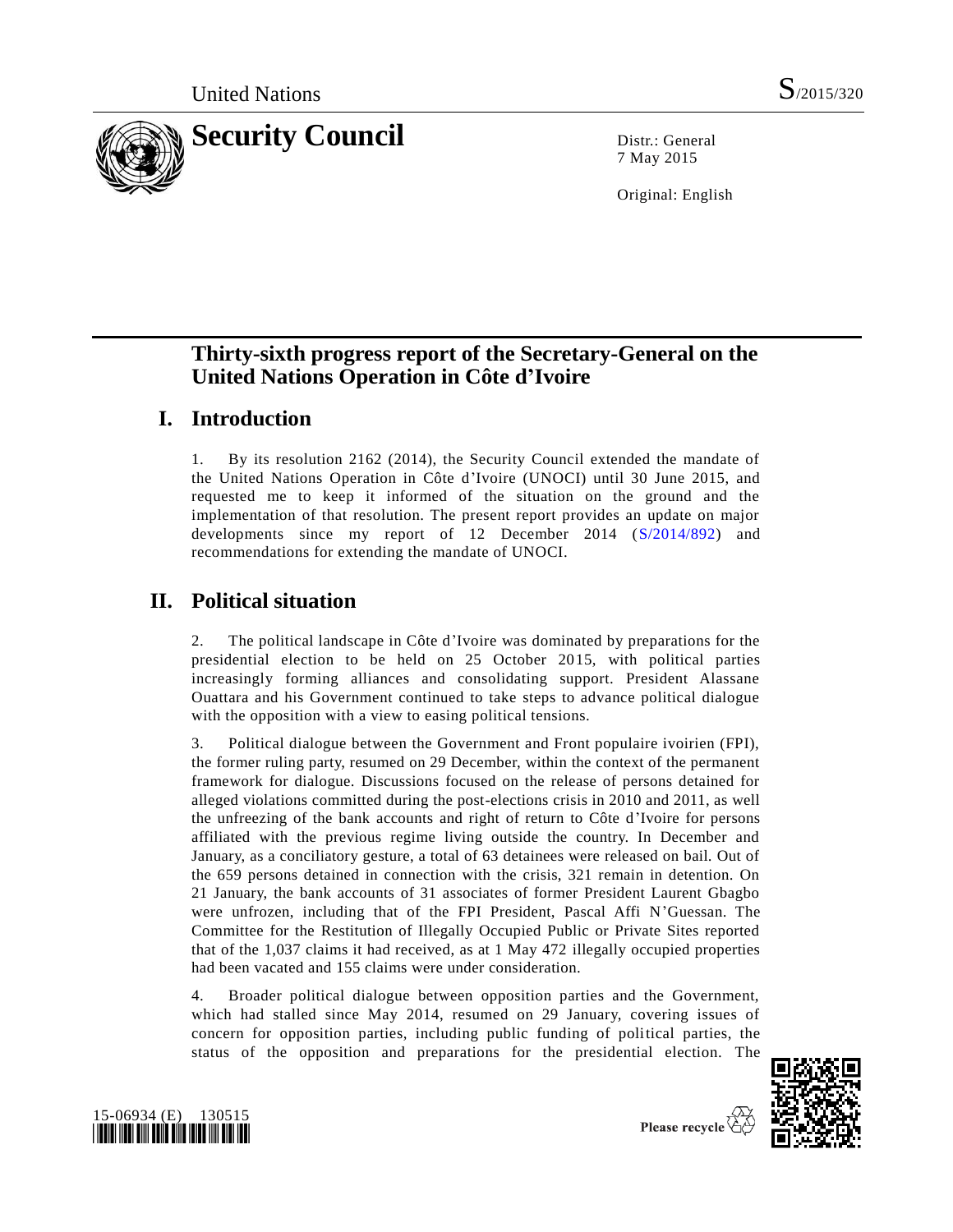

7 May 2015

Original: English

# **Thirty-sixth progress report of the Secretary-General on the United Nations Operation in Côte d'Ivoire**

# **I. Introduction**

1. By its resolution 2162 (2014), the Security Council extended the mandate of the United Nations Operation in Côte d'Ivoire (UNOCI) until 30 June 2015, and requested me to keep it informed of the situation on the ground and the implementation of that resolution. The present report provides an update on major developments since my report of 12 December 2014 [\(S/2014/892\)](http://undocs.org/S/2014/892) and recommendations for extending the mandate of UNOCI.

# **II. Political situation**

2. The political landscape in Côte d'Ivoire was dominated by preparations for the presidential election to be held on 25 October 2015, with political parties increasingly forming alliances and consolidating support. President Alassane Ouattara and his Government continued to take steps to advance political dialogue with the opposition with a view to easing political tensions.

3. Political dialogue between the Government and Front populaire ivoirien (FPI), the former ruling party, resumed on 29 December, within the context of the permanent framework for dialogue. Discussions focused on the release of persons detained for alleged violations committed during the post-elections crisis in 2010 and 2011, as well the unfreezing of the bank accounts and right of return to Côte d'Ivoire for persons affiliated with the previous regime living outside the country. In December and January, as a conciliatory gesture, a total of 63 detainees were released on bail. Out of the 659 persons detained in connection with the crisis, 321 remain in detention. On 21 January, the bank accounts of 31 associates of former President Laurent Gbagbo were unfrozen, including that of the FPI President, Pascal Affi N'Guessan. The Committee for the Restitution of Illegally Occupied Public or Private Sites reported that of the 1,037 claims it had received, as at 1 May 472 illegally occupied properties had been vacated and 155 claims were under consideration.

4. Broader political dialogue between opposition parties and the Government, which had stalled since May 2014, resumed on 29 January, covering issues of concern for opposition parties, including public funding of political parties, the status of the opposition and preparations for the presidential election. The



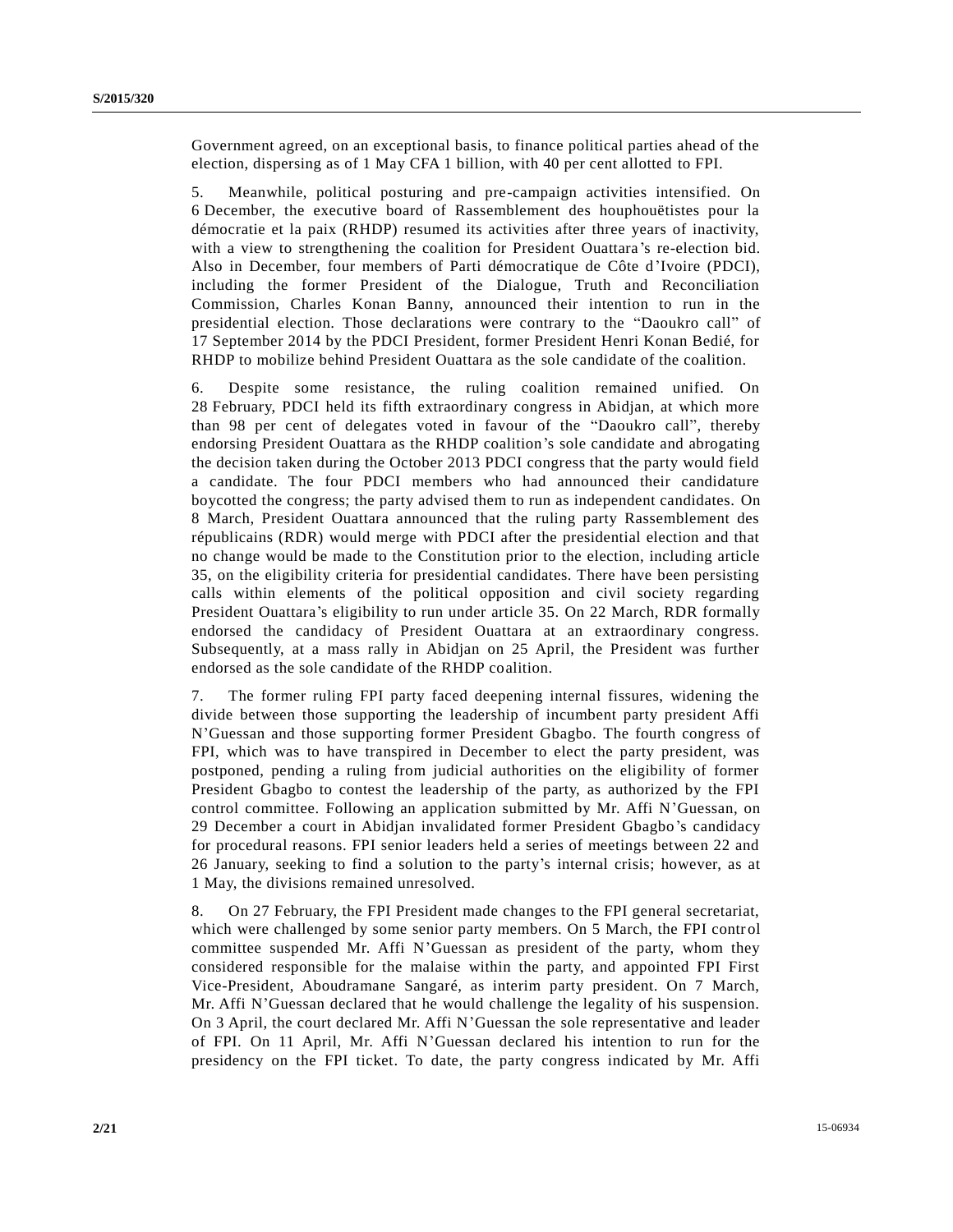Government agreed, on an exceptional basis, to finance political parties ahead of the election, dispersing as of 1 May CFA 1 billion, with 40 per cent allotted to FPI.

5. Meanwhile, political posturing and pre-campaign activities intensified. On 6 December, the executive board of Rassemblement des houphouëtistes pour la démocratie et la paix (RHDP) resumed its activities after three years of inactivity, with a view to strengthening the coalition for President Ouattara's re-election bid. Also in December, four members of Parti démocratique de Côte d'Ivoire (PDCI), including the former President of the Dialogue, Truth and Reconciliation Commission, Charles Konan Banny, announced their intention to run in the presidential election. Those declarations were contrary to the "Daoukro call" of 17 September 2014 by the PDCI President, former President Henri Konan Bedié, for RHDP to mobilize behind President Ouattara as the sole candidate of the coalition.

6. Despite some resistance, the ruling coalition remained unified. On 28 February, PDCI held its fifth extraordinary congress in Abidjan, at which more than 98 per cent of delegates voted in favour of the "Daoukro call", thereby endorsing President Ouattara as the RHDP coalition's sole candidate and abrogating the decision taken during the October 2013 PDCI congress that the party would field a candidate. The four PDCI members who had announced their candidature boycotted the congress; the party advised them to run as independent candidates. On 8 March, President Ouattara announced that the ruling party Rassemblement des républicains (RDR) would merge with PDCI after the presidential election and that no change would be made to the Constitution prior to the election, including article 35, on the eligibility criteria for presidential candidates. There have been persisting calls within elements of the political opposition and civil society regarding President Ouattara's eligibility to run under article 35. On 22 March, RDR formally endorsed the candidacy of President Ouattara at an extraordinary congress. Subsequently, at a mass rally in Abidjan on 25 April, the President was further endorsed as the sole candidate of the RHDP coalition.

7. The former ruling FPI party faced deepening internal fissures, widening the divide between those supporting the leadership of incumbent party president Affi N'Guessan and those supporting former President Gbagbo. The fourth congress of FPI, which was to have transpired in December to elect the party president, was postponed, pending a ruling from judicial authorities on the eligibility of former President Gbagbo to contest the leadership of the party, as authorized by the FPI control committee. Following an application submitted by Mr. Affi N'Guessan, on 29 December a court in Abidjan invalidated former President Gbagbo's candidacy for procedural reasons. FPI senior leaders held a series of meetings between 22 and 26 January, seeking to find a solution to the party's internal crisis; however, as at 1 May, the divisions remained unresolved.

8. On 27 February, the FPI President made changes to the FPI general secretariat, which were challenged by some senior party members. On 5 March, the FPI control committee suspended Mr. Affi N'Guessan as president of the party, whom they considered responsible for the malaise within the party, and appointed FPI First Vice-President, Aboudramane Sangaré, as interim party president. On 7 March, Mr. Affi N'Guessan declared that he would challenge the legality of his suspension. On 3 April, the court declared Mr. Affi N'Guessan the sole representative and leader of FPI. On 11 April, Mr. Affi N'Guessan declared his intention to run for the presidency on the FPI ticket. To date, the party congress indicated by Mr. Affi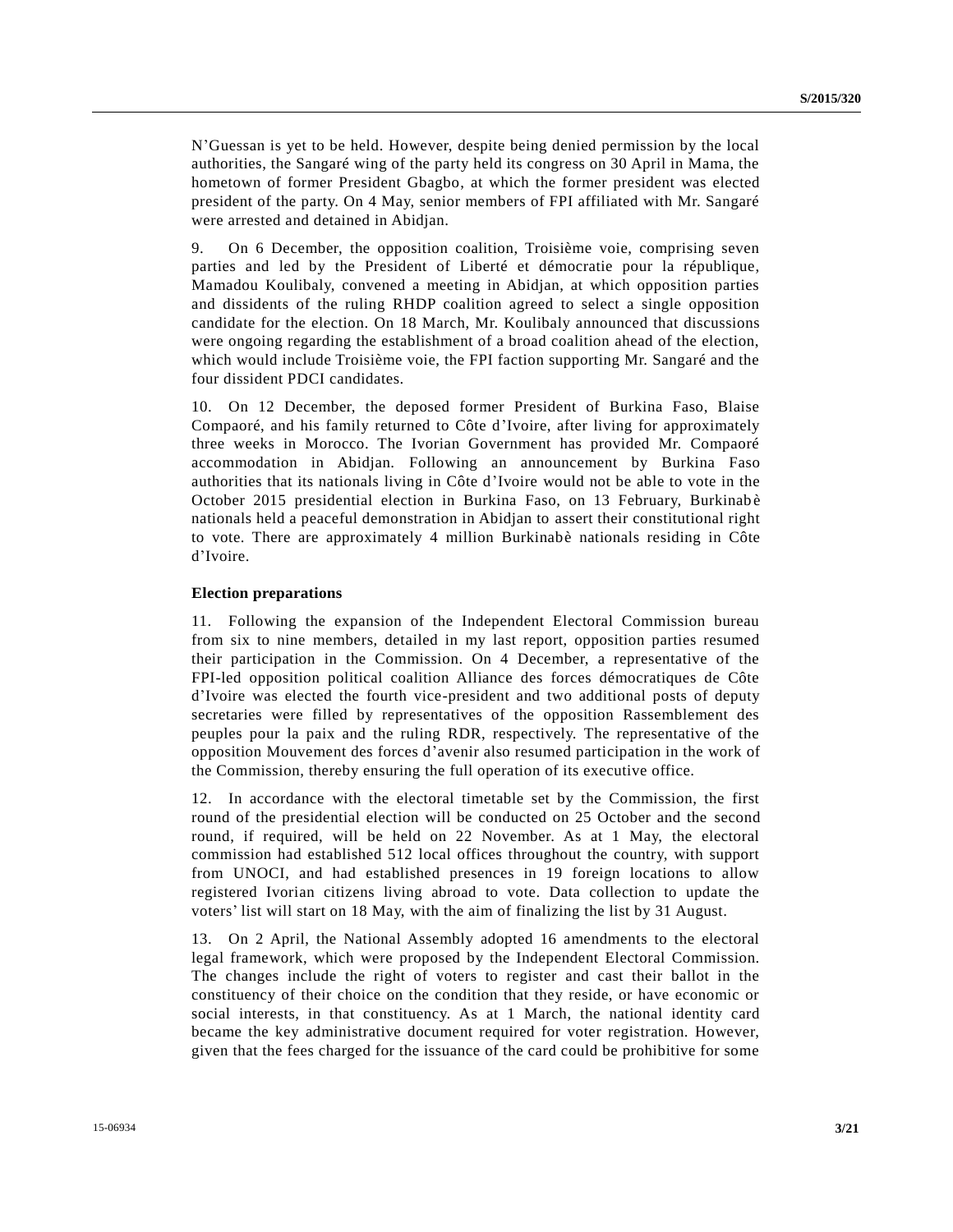N'Guessan is yet to be held. However, despite being denied permission by the local authorities, the Sangaré wing of the party held its congress on 30 April in Mama, the hometown of former President Gbagbo, at which the former president was elected president of the party. On 4 May, senior members of FPI affiliated with Mr. Sangaré were arrested and detained in Abidjan.

9. On 6 December, the opposition coalition, Troisième voie, comprising seven parties and led by the President of Liberté et démocratie pour la république, Mamadou Koulibaly, convened a meeting in Abidjan, at which opposition parties and dissidents of the ruling RHDP coalition agreed to select a single opposition candidate for the election. On 18 March, Mr. Koulibaly announced that discussions were ongoing regarding the establishment of a broad coalition ahead of the election, which would include Troisième voie, the FPI faction supporting Mr. Sangaré and the four dissident PDCI candidates.

10. On 12 December, the deposed former President of Burkina Faso, Blaise Compaoré, and his family returned to Côte d'Ivoire, after living for approximately three weeks in Morocco. The Ivorian Government has provided Mr. Compaoré accommodation in Abidjan. Following an announcement by Burkina Faso authorities that its nationals living in Côte d'Ivoire would not be able to vote in the October 2015 presidential election in Burkina Faso, on 13 February, Burkinab è nationals held a peaceful demonstration in Abidjan to assert their constitutional right to vote. There are approximately 4 million Burkinabè nationals residing in Côte d'Ivoire.

#### **Election preparations**

11. Following the expansion of the Independent Electoral Commission bureau from six to nine members, detailed in my last report, opposition parties resumed their participation in the Commission. On 4 December, a representative of the FPI-led opposition political coalition Alliance des forces démocratiques de Côte d'Ivoire was elected the fourth vice-president and two additional posts of deputy secretaries were filled by representatives of the opposition Rassemblement des peuples pour la paix and the ruling RDR, respectively. The representative of the opposition Mouvement des forces d'avenir also resumed participation in the work of the Commission, thereby ensuring the full operation of its executive office.

12. In accordance with the electoral timetable set by the Commission, the first round of the presidential election will be conducted on 25 October and the second round, if required, will be held on 22 November. As at 1 May, the electoral commission had established 512 local offices throughout the country, with support from UNOCI, and had established presences in 19 foreign locations to allow registered Ivorian citizens living abroad to vote. Data collection to update the voters' list will start on 18 May, with the aim of finalizing the list by 31 August.

13. On 2 April, the National Assembly adopted 16 amendments to the electoral legal framework, which were proposed by the Independent Electoral Commission. The changes include the right of voters to register and cast their ballot in the constituency of their choice on the condition that they reside, or have economic or social interests, in that constituency. As at 1 March, the national identity card became the key administrative document required for voter registration. However, given that the fees charged for the issuance of the card could be prohibitive for some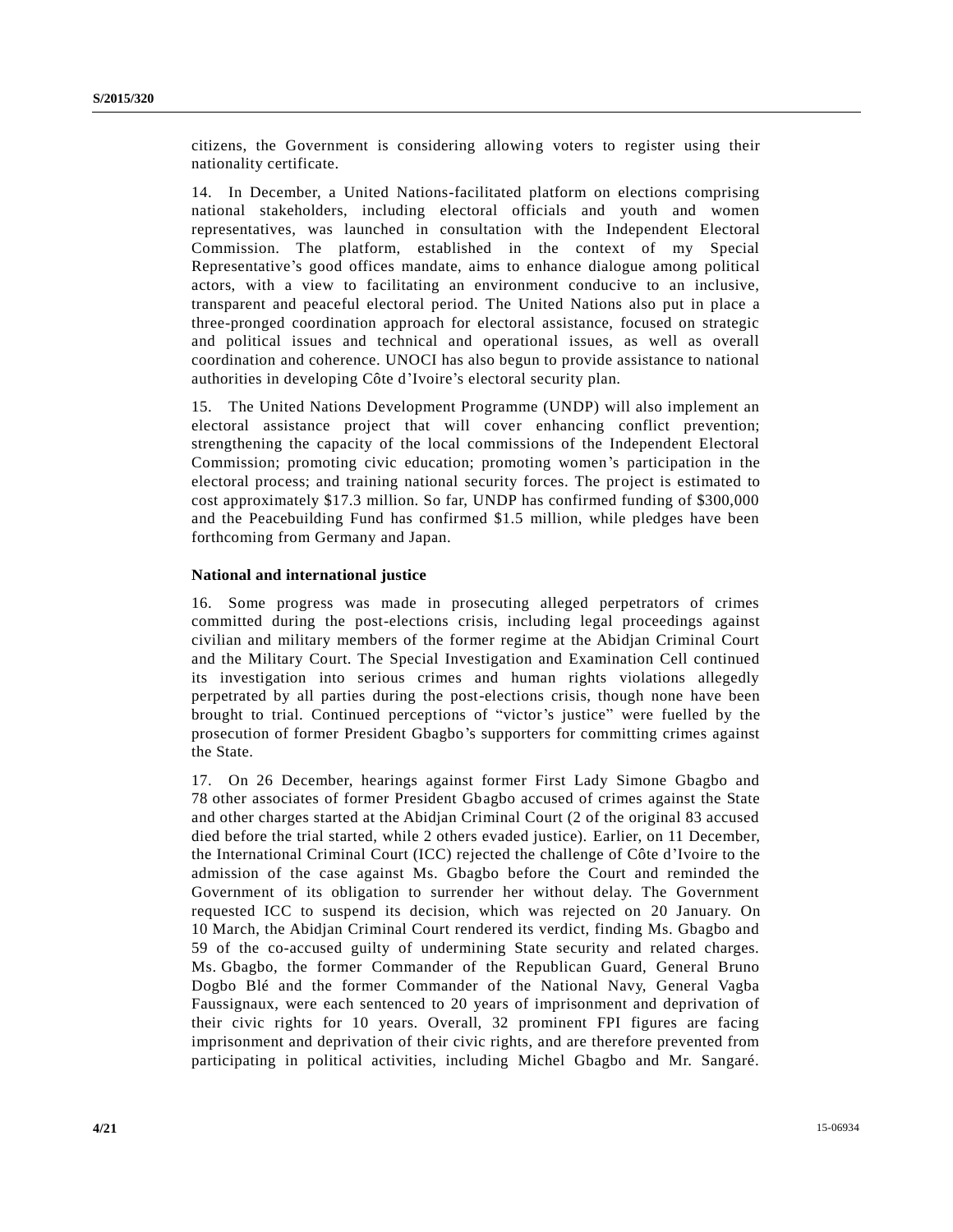citizens, the Government is considering allowing voters to register using their nationality certificate.

14. In December, a United Nations-facilitated platform on elections comprising national stakeholders, including electoral officials and youth and women representatives, was launched in consultation with the Independent Electoral Commission. The platform, established in the context of my Special Representative's good offices mandate, aims to enhance dialogue among political actors, with a view to facilitating an environment conducive to an inclusive, transparent and peaceful electoral period. The United Nations also put in place a three-pronged coordination approach for electoral assistance, focused on strategic and political issues and technical and operational issues, as well as overall coordination and coherence. UNOCI has also begun to provide assistance to national authorities in developing Côte d'Ivoire's electoral security plan.

15. The United Nations Development Programme (UNDP) will also implement an electoral assistance project that will cover enhancing conflict prevention; strengthening the capacity of the local commissions of the Independent Electoral Commission; promoting civic education; promoting women's participation in the electoral process; and training national security forces. The project is estimated to cost approximately \$17.3 million. So far, UNDP has confirmed funding of \$300,000 and the Peacebuilding Fund has confirmed \$1.5 million, while pledges have been forthcoming from Germany and Japan.

### **National and international justice**

16. Some progress was made in prosecuting alleged perpetrators of crimes committed during the post-elections crisis, including legal proceedings against civilian and military members of the former regime at the Abidjan Criminal Court and the Military Court. The Special Investigation and Examination Cell continued its investigation into serious crimes and human rights violations allegedly perpetrated by all parties during the post-elections crisis, though none have been brought to trial. Continued perceptions of "victor's justice" were fuelled by the prosecution of former President Gbagbo's supporters for committing crimes against the State.

17. On 26 December, hearings against former First Lady Simone Gbagbo and 78 other associates of former President Gbagbo accused of crimes against the State and other charges started at the Abidjan Criminal Court (2 of the original 83 accused died before the trial started, while 2 others evaded justice). Earlier, on 11 December, the International Criminal Court (ICC) rejected the challenge of Côte d'Ivoire to the admission of the case against Ms. Gbagbo before the Court and reminded the Government of its obligation to surrender her without delay. The Government requested ICC to suspend its decision, which was rejected on 20 January. On 10 March, the Abidjan Criminal Court rendered its verdict, finding Ms. Gbagbo and 59 of the co-accused guilty of undermining State security and related charges. Ms. Gbagbo, the former Commander of the Republican Guard, General Bruno Dogbo Blé and the former Commander of the National Navy, General Vagba Faussignaux, were each sentenced to 20 years of imprisonment and deprivation of their civic rights for 10 years. Overall, 32 prominent FPI figures are facing imprisonment and deprivation of their civic rights, and are therefore prevented from participating in political activities, including Michel Gbagbo and Mr. Sangaré.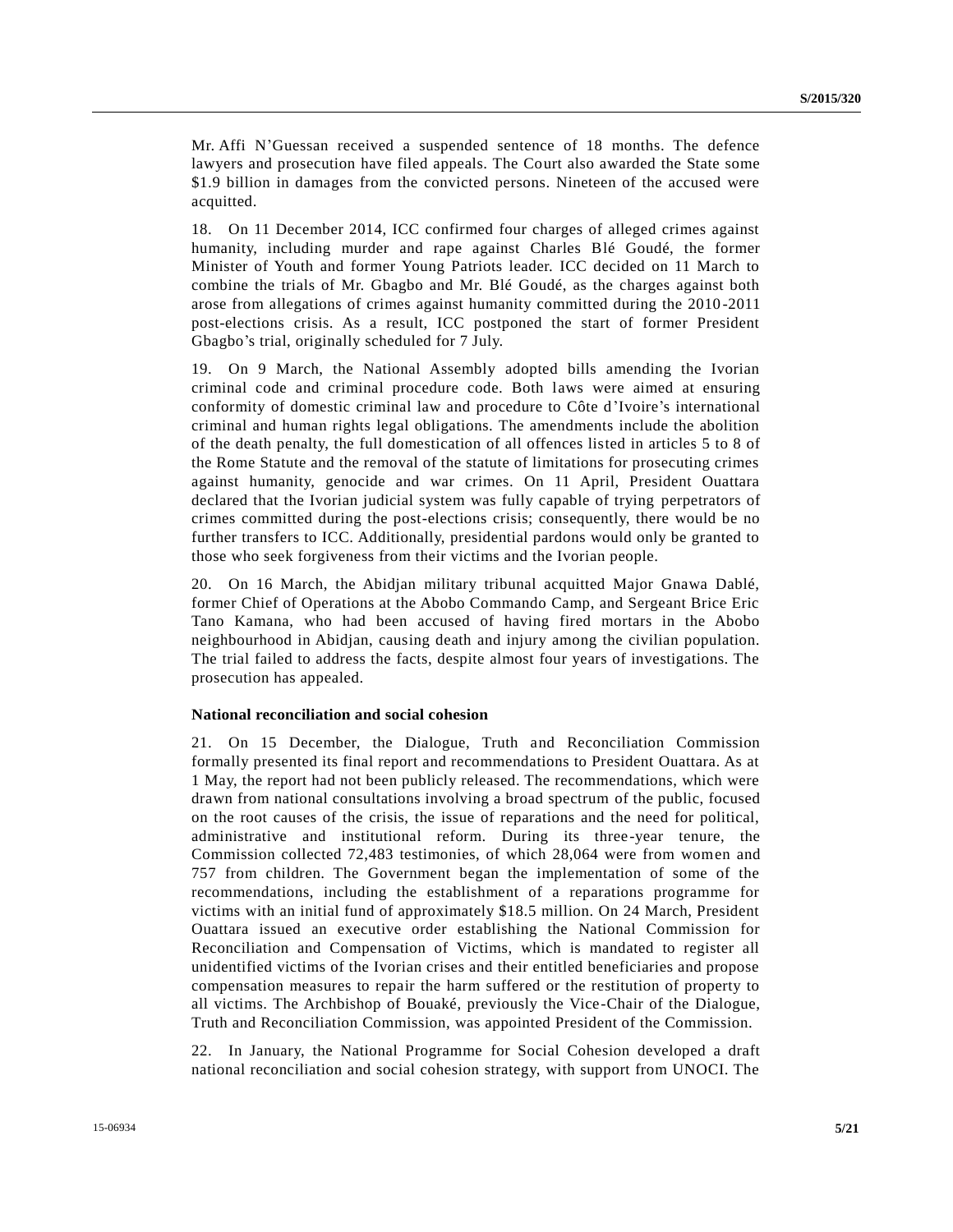Mr. Affi N'Guessan received a suspended sentence of 18 months. The defence lawyers and prosecution have filed appeals. The Court also awarded the State some \$1.9 billion in damages from the convicted persons. Nineteen of the accused were acquitted.

18. On 11 December 2014, ICC confirmed four charges of alleged crimes against humanity, including murder and rape against Charles Blé Goudé, the former Minister of Youth and former Young Patriots leader. ICC decided on 11 March to combine the trials of Mr. Gbagbo and Mr. Blé Goudé, as the charges against both arose from allegations of crimes against humanity committed during the 2010 -2011 post-elections crisis. As a result, ICC postponed the start of former President Gbagbo's trial, originally scheduled for 7 July.

19. On 9 March, the National Assembly adopted bills amending the Ivorian criminal code and criminal procedure code. Both laws were aimed at ensuring conformity of domestic criminal law and procedure to Côte d'Ivoire's international criminal and human rights legal obligations. The amendments include the abolition of the death penalty, the full domestication of all offences listed in articles 5 to 8 of the Rome Statute and the removal of the statute of limitations for prosecuting crimes against humanity, genocide and war crimes. On 11 April, President Ouattara declared that the Ivorian judicial system was fully capable of trying perpetrators of crimes committed during the post-elections crisis; consequently, there would be no further transfers to ICC. Additionally, presidential pardons would only be granted to those who seek forgiveness from their victims and the Ivorian people.

20. On 16 March, the Abidjan military tribunal acquitted Major Gnawa Dablé, former Chief of Operations at the Abobo Commando Camp, and Sergeant Brice Eric Tano Kamana, who had been accused of having fired mortars in the Abobo neighbourhood in Abidjan, causing death and injury among the civilian population. The trial failed to address the facts, despite almost four years of investigations. The prosecution has appealed.

#### **National reconciliation and social cohesion**

21. On 15 December, the Dialogue, Truth and Reconciliation Commission formally presented its final report and recommendations to President Ouattara. As at 1 May, the report had not been publicly released. The recommendations, which were drawn from national consultations involving a broad spectrum of the public, focused on the root causes of the crisis, the issue of reparations and the need for political, administrative and institutional reform. During its three-year tenure, the Commission collected 72,483 testimonies, of which 28,064 were from women and 757 from children. The Government began the implementation of some of the recommendations, including the establishment of a reparations programme for victims with an initial fund of approximately \$18.5 million. On 24 March, President Ouattara issued an executive order establishing the National Commission for Reconciliation and Compensation of Victims, which is mandated to register all unidentified victims of the Ivorian crises and their entitled beneficiaries and propose compensation measures to repair the harm suffered or the restitution of property to all victims. The Archbishop of Bouaké, previously the Vice-Chair of the Dialogue, Truth and Reconciliation Commission, was appointed President of the Commission.

22. In January, the National Programme for Social Cohesion developed a draft national reconciliation and social cohesion strategy, with support from UNOCI. The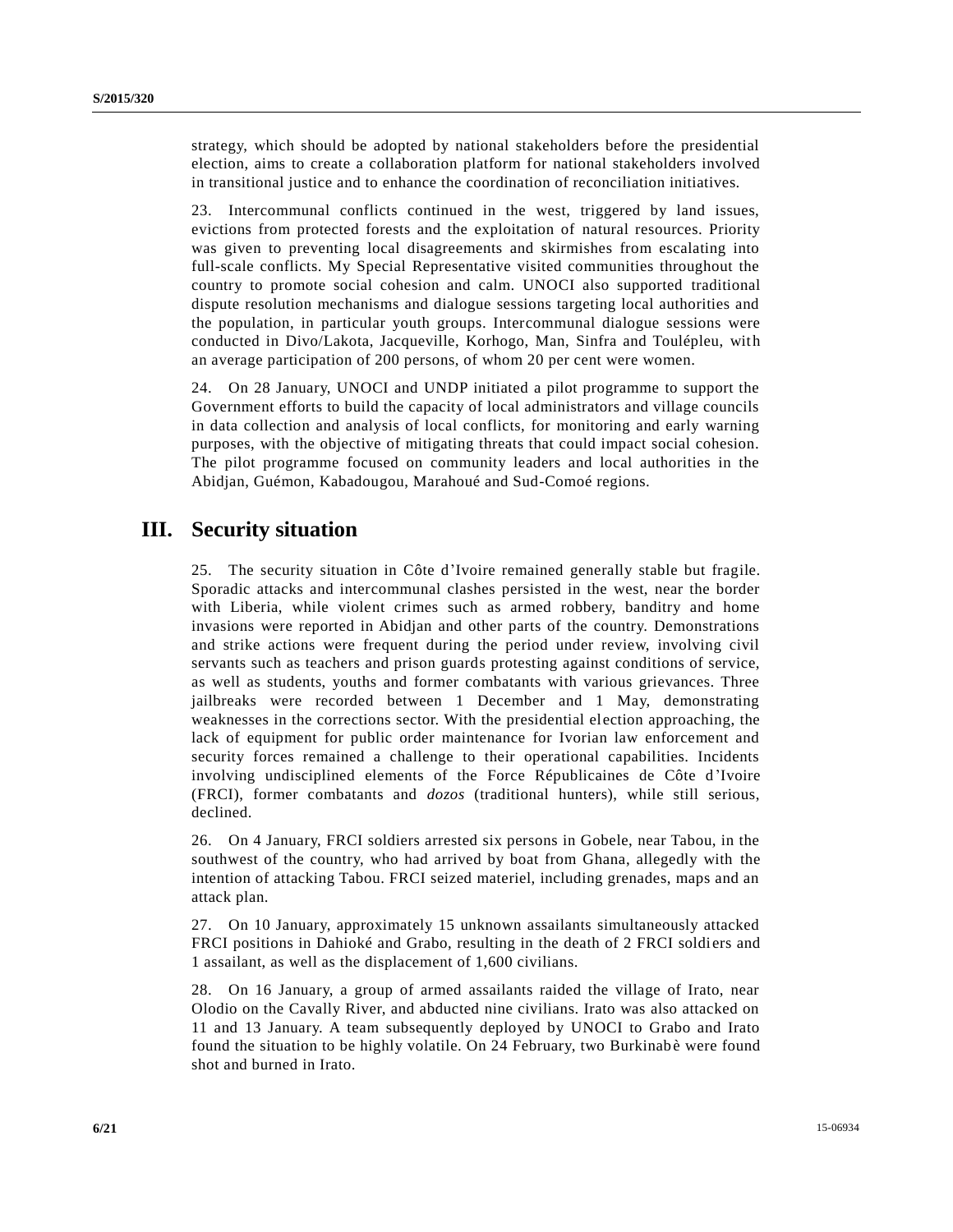strategy, which should be adopted by national stakeholders before the presidential election, aims to create a collaboration platform for national stakeholders involved in transitional justice and to enhance the coordination of reconciliation initiatives.

23. Intercommunal conflicts continued in the west, triggered by land issues, evictions from protected forests and the exploitation of natural resources. Priority was given to preventing local disagreements and skirmishes from escalating into full-scale conflicts. My Special Representative visited communities throughout the country to promote social cohesion and calm. UNOCI also supported traditional dispute resolution mechanisms and dialogue sessions targeting local authorities and the population, in particular youth groups. Intercommunal dialogue sessions were conducted in Divo/Lakota, Jacqueville, Korhogo, Man, Sinfra and Toulépleu, with an average participation of 200 persons, of whom 20 per cent were women.

24. On 28 January, UNOCI and UNDP initiated a pilot programme to support the Government efforts to build the capacity of local administrators and village councils in data collection and analysis of local conflicts, for monitoring and early warning purposes, with the objective of mitigating threats that could impact social cohesion. The pilot programme focused on community leaders and local authorities in the Abidjan, Guémon, Kabadougou, Marahoué and Sud-Comoé regions.

# **III. Security situation**

25. The security situation in Côte d'Ivoire remained generally stable but fragile. Sporadic attacks and intercommunal clashes persisted in the west, near the border with Liberia, while violent crimes such as armed robbery, banditry and home invasions were reported in Abidjan and other parts of the country. Demonstrations and strike actions were frequent during the period under review, involving civil servants such as teachers and prison guards protesting against conditions of service, as well as students, youths and former combatants with various grievances. Three jailbreaks were recorded between 1 December and 1 May, demonstrating weaknesses in the corrections sector. With the presidential election approaching, the lack of equipment for public order maintenance for Ivorian law enforcement and security forces remained a challenge to their operational capabilities. Incidents involving undisciplined elements of the Force Républicaines de Côte d'Ivoire (FRCI), former combatants and *dozos* (traditional hunters), while still serious, declined.

26. On 4 January, FRCI soldiers arrested six persons in Gobele, near Tabou, in the southwest of the country, who had arrived by boat from Ghana, allegedly with the intention of attacking Tabou. FRCI seized materiel, including grenades, maps and an attack plan.

27. On 10 January, approximately 15 unknown assailants simultaneously attacked FRCI positions in Dahioké and Grabo, resulting in the death of 2 FRCI soldiers and 1 assailant, as well as the displacement of 1,600 civilians.

28. On 16 January, a group of armed assailants raided the village of Irato, near Olodio on the Cavally River, and abducted nine civilians. Irato was also attacked on 11 and 13 January. A team subsequently deployed by UNOCI to Grabo and Irato found the situation to be highly volatile. On 24 February, two Burkinabe were found shot and burned in Irato.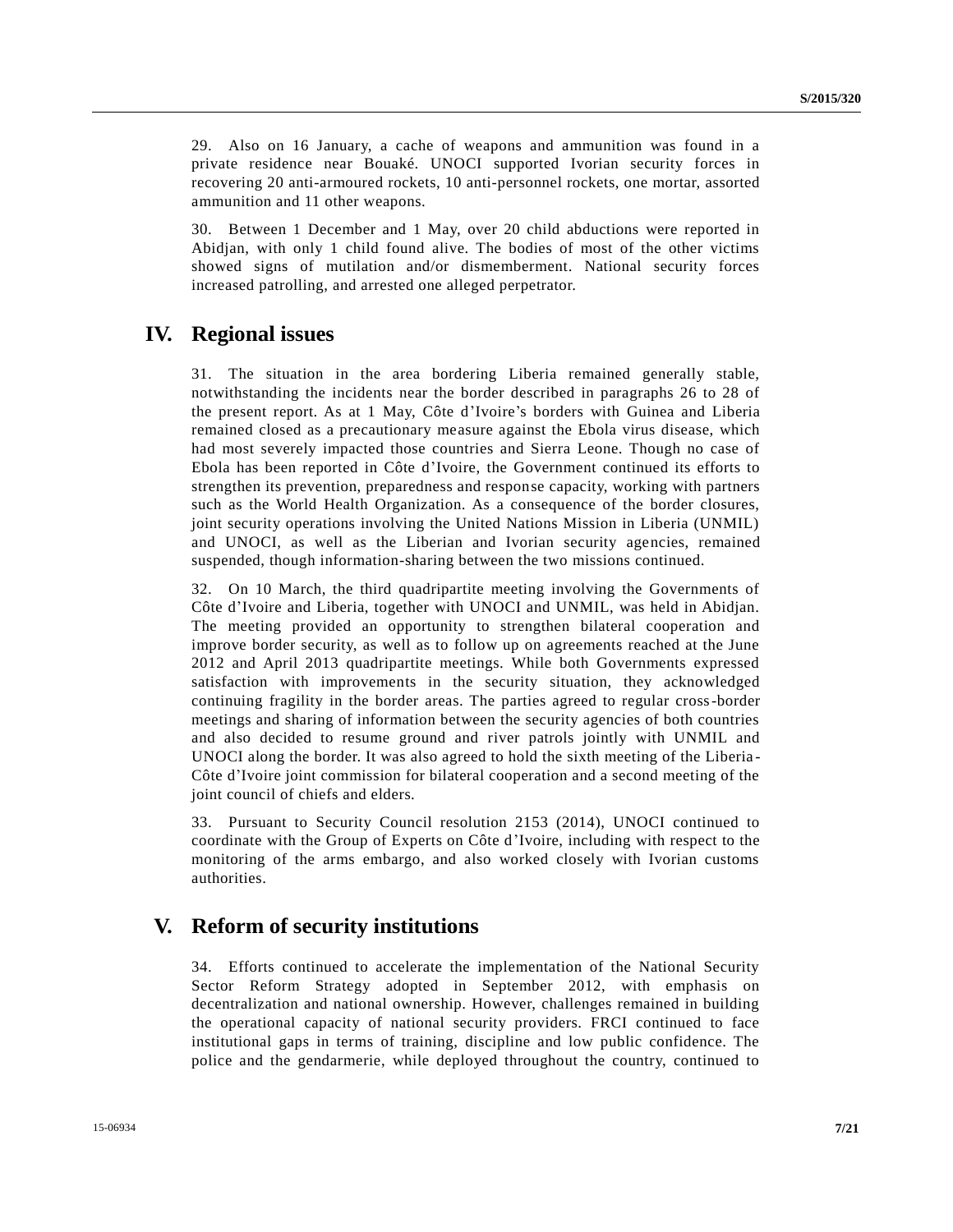29. Also on 16 January, a cache of weapons and ammunition was found in a private residence near Bouaké. UNOCI supported Ivorian security forces in recovering 20 anti-armoured rockets, 10 anti-personnel rockets, one mortar, assorted ammunition and 11 other weapons.

30. Between 1 December and 1 May, over 20 child abductions were reported in Abidjan, with only 1 child found alive. The bodies of most of the other victims showed signs of mutilation and/or dismemberment. National security forces increased patrolling, and arrested one alleged perpetrator.

### **IV. Regional issues**

31. The situation in the area bordering Liberia remained generally stable, notwithstanding the incidents near the border described in paragraphs 26 to 28 of the present report. As at 1 May, Côte d'Ivoire's borders with Guinea and Liberia remained closed as a precautionary measure against the Ebola virus disease, which had most severely impacted those countries and Sierra Leone. Though no case of Ebola has been reported in Côte d'Ivoire, the Government continued its efforts to strengthen its prevention, preparedness and response capacity, working with partners such as the World Health Organization. As a consequence of the border closures, joint security operations involving the United Nations Mission in Liberia (UNMIL) and UNOCI, as well as the Liberian and Ivorian security agencies, remained suspended, though information-sharing between the two missions continued.

32. On 10 March, the third quadripartite meeting involving the Governments of Côte d'Ivoire and Liberia, together with UNOCI and UNMIL, was held in Abidjan. The meeting provided an opportunity to strengthen bilateral cooperation and improve border security, as well as to follow up on agreements reached at the June 2012 and April 2013 quadripartite meetings. While both Governments expressed satisfaction with improvements in the security situation, they acknowledged continuing fragility in the border areas. The parties agreed to regular cross-border meetings and sharing of information between the security agencies of both countries and also decided to resume ground and river patrols jointly with UNMIL and UNOCI along the border. It was also agreed to hold the sixth meeting of the Liberia - Côte d'Ivoire joint commission for bilateral cooperation and a second meeting of the joint council of chiefs and elders.

33. Pursuant to Security Council resolution 2153 (2014), UNOCI continued to coordinate with the Group of Experts on Côte d'Ivoire, including with respect to the monitoring of the arms embargo, and also worked closely with Ivorian customs authorities.

### **V. Reform of security institutions**

34. Efforts continued to accelerate the implementation of the National Security Sector Reform Strategy adopted in September 2012, with emphasis on decentralization and national ownership. However, challenges remained in building the operational capacity of national security providers. FRCI continued to face institutional gaps in terms of training, discipline and low public confidence. The police and the gendarmerie, while deployed throughout the country, continued to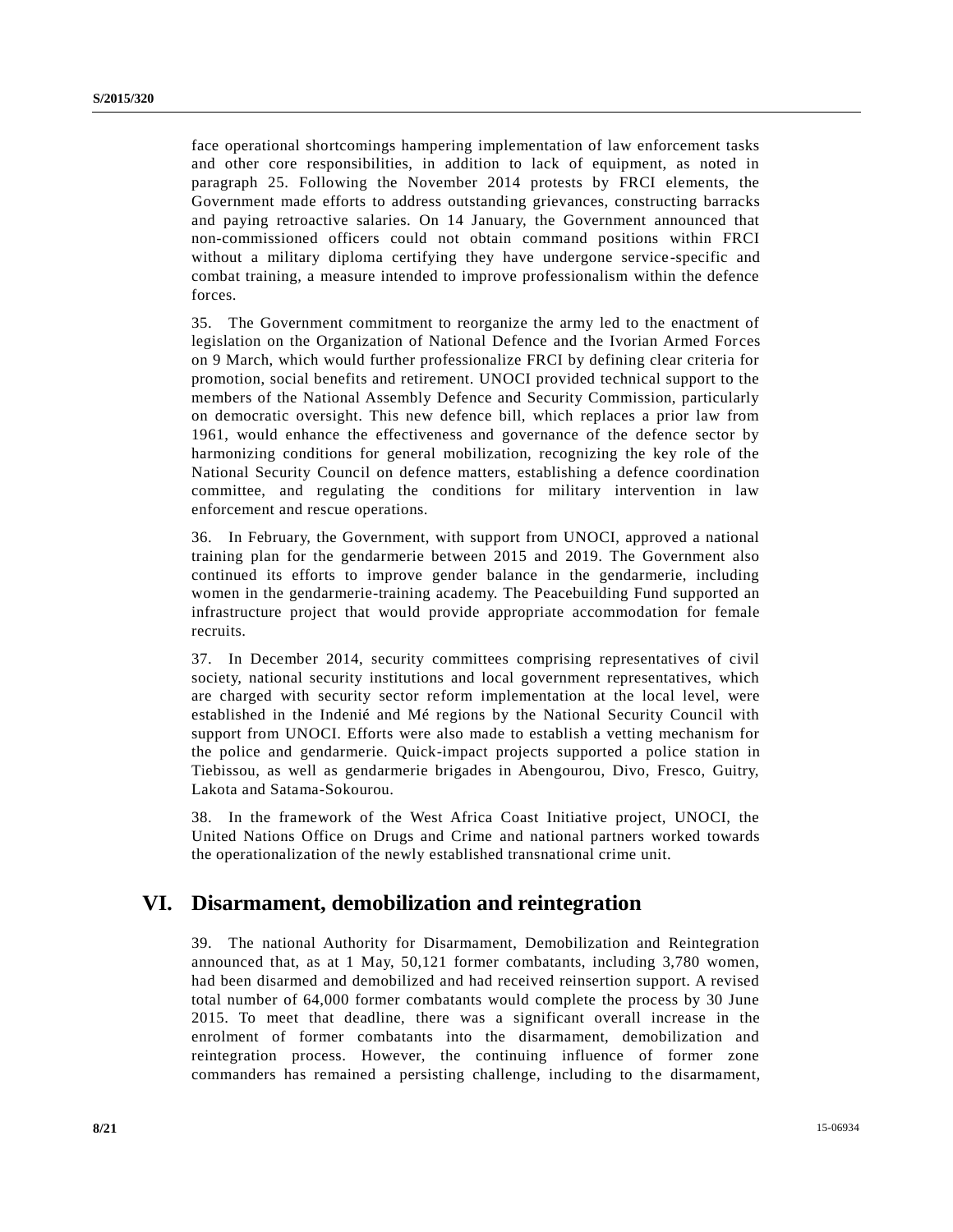face operational shortcomings hampering implementation of law enforcement tasks and other core responsibilities, in addition to lack of equipment, as noted in paragraph 25. Following the November 2014 protests by FRCI elements, the Government made efforts to address outstanding grievances, constructing barracks and paying retroactive salaries. On 14 January, the Government announced that non-commissioned officers could not obtain command positions within FRCI without a military diploma certifying they have undergone service -specific and combat training, a measure intended to improve professionalism within the defence forces.

35. The Government commitment to reorganize the army led to the enactment of legislation on the Organization of National Defence and the Ivorian Armed For ces on 9 March, which would further professionalize FRCI by defining clear criteria for promotion, social benefits and retirement. UNOCI provided technical support to the members of the National Assembly Defence and Security Commission, particularly on democratic oversight. This new defence bill, which replaces a prior law from 1961, would enhance the effectiveness and governance of the defence sector by harmonizing conditions for general mobilization, recognizing the key role of the National Security Council on defence matters, establishing a defence coordination committee, and regulating the conditions for military intervention in law enforcement and rescue operations.

36. In February, the Government, with support from UNOCI, approved a national training plan for the gendarmerie between 2015 and 2019. The Government also continued its efforts to improve gender balance in the gendarmerie, including women in the gendarmerie-training academy. The Peacebuilding Fund supported an infrastructure project that would provide appropriate accommodation for female recruits.

37. In December 2014, security committees comprising representatives of civil society, national security institutions and local government representatives, which are charged with security sector reform implementation at the local level, were established in the Indenié and Mé regions by the National Security Council with support from UNOCI. Efforts were also made to establish a vetting mechanism for the police and gendarmerie. Quick-impact projects supported a police station in Tiebissou, as well as gendarmerie brigades in Abengourou, Divo, Fresco, Guitry, Lakota and Satama-Sokourou.

38. In the framework of the West Africa Coast Initiative project, UNOCI, the United Nations Office on Drugs and Crime and national partners worked towards the operationalization of the newly established transnational crime unit.

### **VI. Disarmament, demobilization and reintegration**

39. The national Authority for Disarmament, Demobilization and Reintegration announced that, as at 1 May, 50,121 former combatants, including 3,780 women, had been disarmed and demobilized and had received reinsertion support. A revised total number of 64,000 former combatants would complete the process by 30 June 2015. To meet that deadline, there was a significant overall increase in the enrolment of former combatants into the disarmament, demobilization and reintegration process. However, the continuing influence of former zone commanders has remained a persisting challenge, including to the disarmament,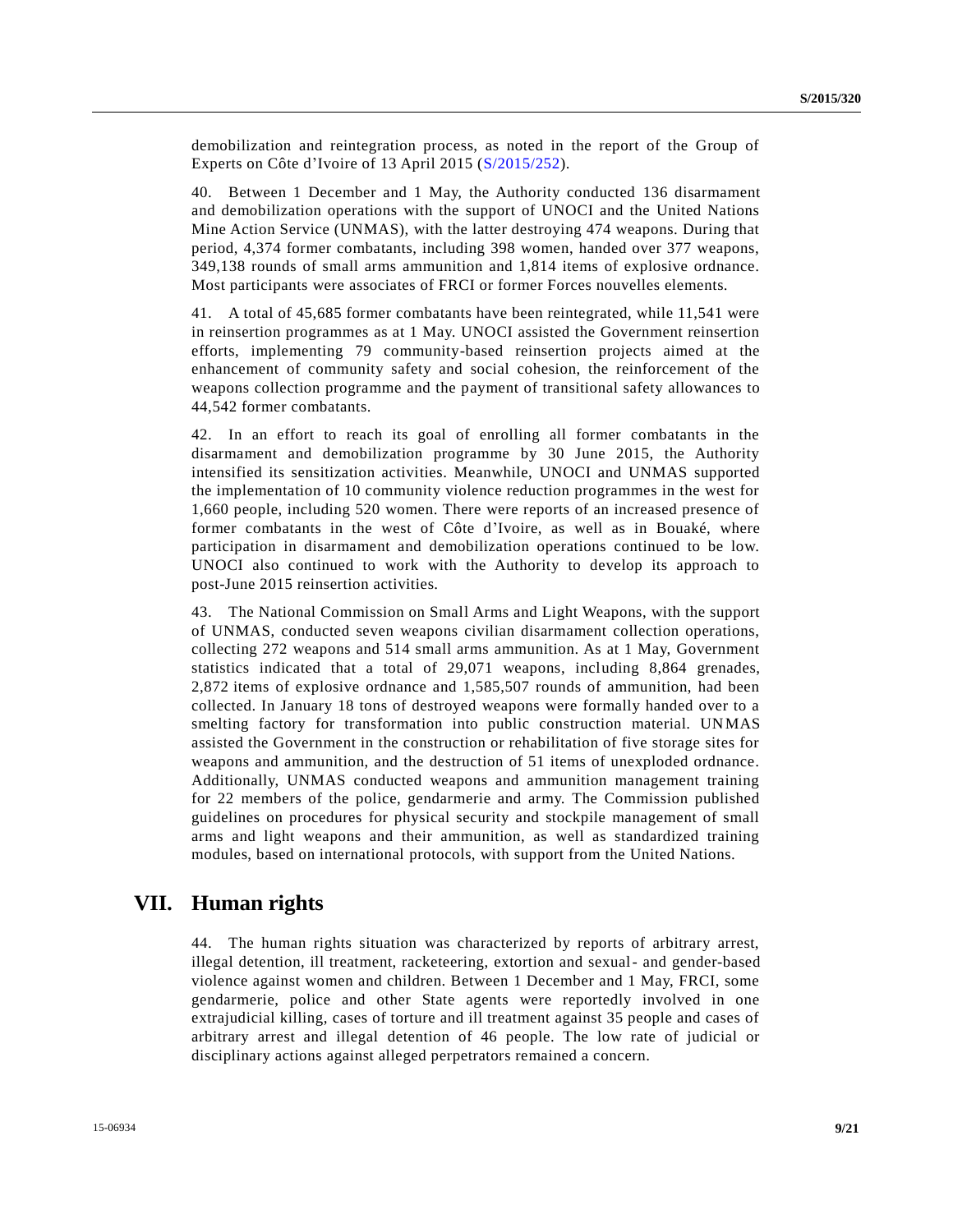demobilization and reintegration process, as noted in the report of the Group of Experts on Côte d'Ivoire of 13 April 2015 [\(S/2015/252\)](http://undocs.org/S/2015/252).

40. Between 1 December and 1 May, the Authority conducted 136 disarmament and demobilization operations with the support of UNOCI and the United Nations Mine Action Service (UNMAS), with the latter destroying 474 weapons. During that period, 4,374 former combatants, including 398 women, handed over 377 weapons, 349,138 rounds of small arms ammunition and 1,814 items of explosive ordnance. Most participants were associates of FRCI or former Forces nouvelles elements.

41. A total of 45,685 former combatants have been reintegrated, while 11,541 were in reinsertion programmes as at 1 May. UNOCI assisted the Government reinsertion efforts, implementing 79 community-based reinsertion projects aimed at the enhancement of community safety and social cohesion, the reinforcement of the weapons collection programme and the payment of transitional safety allowances to 44,542 former combatants.

42. In an effort to reach its goal of enrolling all former combatants in the disarmament and demobilization programme by 30 June 2015, the Authority intensified its sensitization activities. Meanwhile, UNOCI and UNMAS supported the implementation of 10 community violence reduction programmes in the west for 1,660 people, including 520 women. There were reports of an increased presence of former combatants in the west of Côte d'Ivoire, as well as in Bouaké, where participation in disarmament and demobilization operations continued to be low. UNOCI also continued to work with the Authority to develop its approach to post-June 2015 reinsertion activities.

43. The National Commission on Small Arms and Light Weapons, with the support of UNMAS, conducted seven weapons civilian disarmament collection operations, collecting 272 weapons and 514 small arms ammunition. As at 1 May, Government statistics indicated that a total of 29,071 weapons, including 8,864 grenades, 2,872 items of explosive ordnance and 1,585,507 rounds of ammunition, had been collected. In January 18 tons of destroyed weapons were formally handed over to a smelting factory for transformation into public construction material. UNMAS assisted the Government in the construction or rehabilitation of five storage sites for weapons and ammunition, and the destruction of 51 items of unexploded ordnance. Additionally, UNMAS conducted weapons and ammunition management training for 22 members of the police, gendarmerie and army. The Commission published guidelines on procedures for physical security and stockpile management of small arms and light weapons and their ammunition, as well as standardized training modules, based on international protocols, with support from the United Nations.

### **VII. Human rights**

44. The human rights situation was characterized by reports of arbitrary arrest, illegal detention, ill treatment, racketeering, extortion and sexual- and gender-based violence against women and children. Between 1 December and 1 May, FRCI, some gendarmerie, police and other State agents were reportedly involved in one extrajudicial killing, cases of torture and ill treatment against 35 people and cases of arbitrary arrest and illegal detention of 46 people. The low rate of judicial or disciplinary actions against alleged perpetrators remained a concern.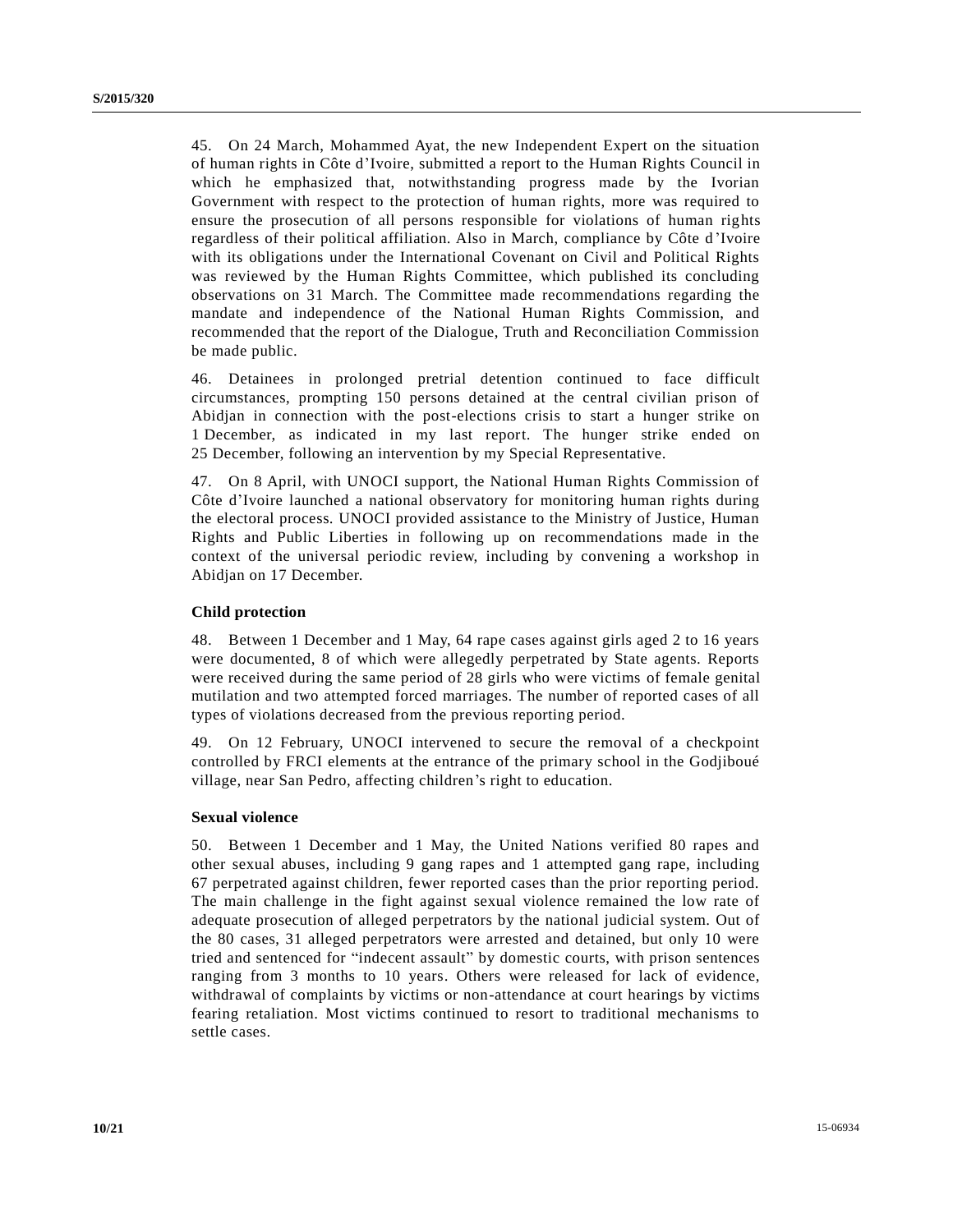45. On 24 March, Mohammed Ayat, the new Independent Expert on the situation of human rights in Côte d'Ivoire, submitted a report to the Human Rights Council in which he emphasized that, notwithstanding progress made by the Ivorian Government with respect to the protection of human rights, more was required to ensure the prosecution of all persons responsible for violations of human rights regardless of their political affiliation. Also in March, compliance by Côte d 'Ivoire with its obligations under the International Covenant on Civil and Political Rights was reviewed by the Human Rights Committee, which published its concluding observations on 31 March. The Committee made recommendations regarding the mandate and independence of the National Human Rights Commission, and recommended that the report of the Dialogue, Truth and Reconciliation Commission be made public.

46. Detainees in prolonged pretrial detention continued to face difficult circumstances, prompting 150 persons detained at the central civilian prison of Abidjan in connection with the post-elections crisis to start a hunger strike on 1 December, as indicated in my last report. The hunger strike ended on 25 December, following an intervention by my Special Representative.

47. On 8 April, with UNOCI support, the National Human Rights Commission of Côte d'Ivoire launched a national observatory for monitoring human rights during the electoral process. UNOCI provided assistance to the Ministry of Justice, Human Rights and Public Liberties in following up on recommendations made in the context of the universal periodic review, including by convening a workshop in Abidjan on 17 December.

### **Child protection**

48. Between 1 December and 1 May, 64 rape cases against girls aged 2 to 16 years were documented, 8 of which were allegedly perpetrated by State agents. Reports were received during the same period of 28 girls who were victims of female genital mutilation and two attempted forced marriages. The number of reported cases of all types of violations decreased from the previous reporting period.

49. On 12 February, UNOCI intervened to secure the removal of a checkpoint controlled by FRCI elements at the entrance of the primary school in the Godjiboué village, near San Pedro, affecting children's right to education.

### **Sexual violence**

50. Between 1 December and 1 May, the United Nations verified 80 rapes and other sexual abuses, including 9 gang rapes and 1 attempted gang rape, including 67 perpetrated against children, fewer reported cases than the prior reporting period. The main challenge in the fight against sexual violence remained the low rate of adequate prosecution of alleged perpetrators by the national judicial system. Out of the 80 cases, 31 alleged perpetrators were arrested and detained, but only 10 were tried and sentenced for "indecent assault" by domestic courts, with prison sentences ranging from 3 months to 10 years. Others were released for lack of evidence, withdrawal of complaints by victims or non-attendance at court hearings by victims fearing retaliation. Most victims continued to resort to traditional mechanisms to settle cases.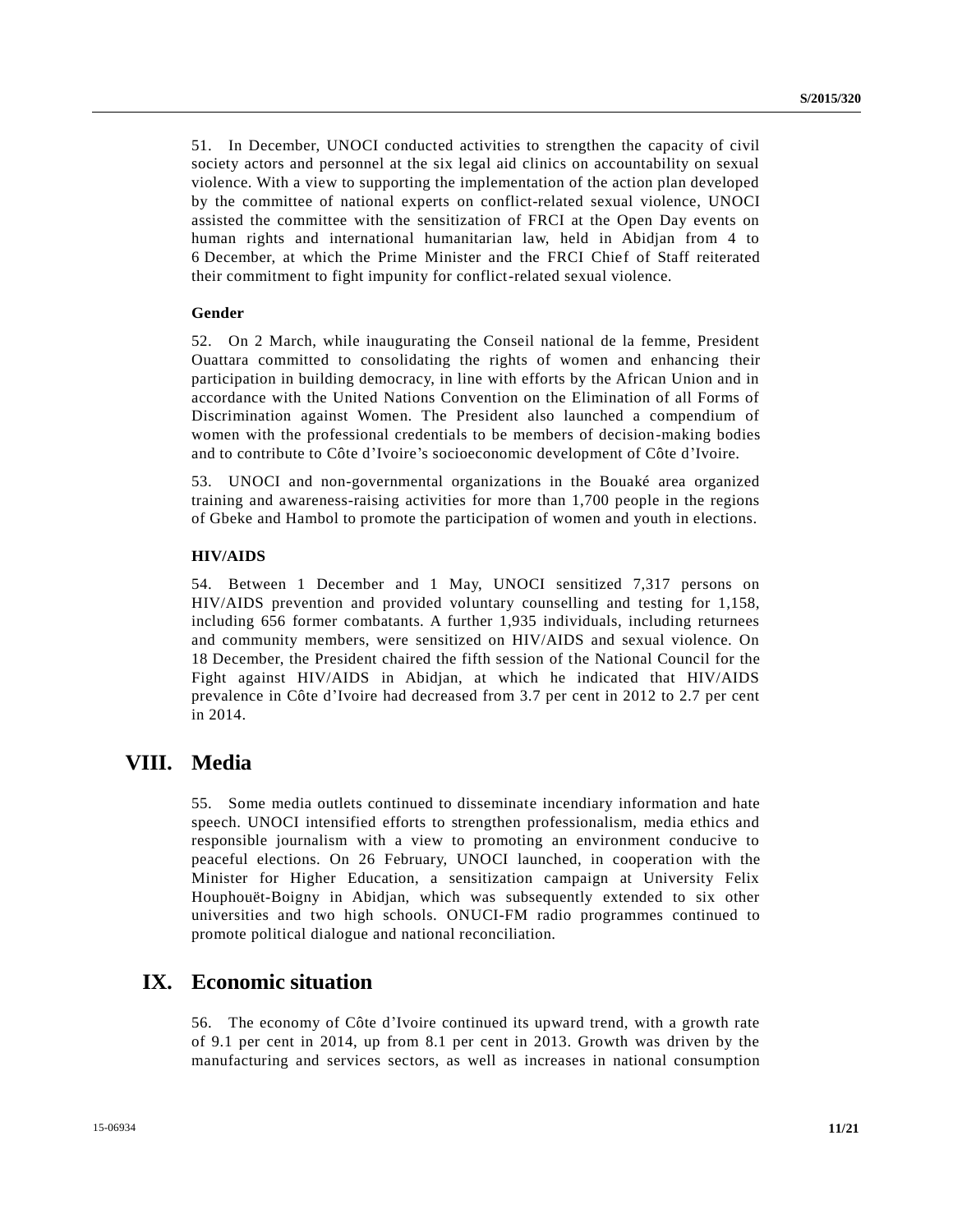51. In December, UNOCI conducted activities to strengthen the capacity of civil society actors and personnel at the six legal aid clinics on accountability on sexual violence. With a view to supporting the implementation of the action plan developed by the committee of national experts on conflict-related sexual violence, UNOCI assisted the committee with the sensitization of FRCI at the Open Day events on human rights and international humanitarian law, held in Abidjan from 4 to 6 December, at which the Prime Minister and the FRCI Chief of Staff reiterated their commitment to fight impunity for conflict-related sexual violence.

#### **Gender**

52. On 2 March, while inaugurating the Conseil national de la femme, President Ouattara committed to consolidating the rights of women and enhancing their participation in building democracy, in line with efforts by the African Union and in accordance with the United Nations Convention on the Elimination of all Forms of Discrimination against Women. The President also launched a compendium of women with the professional credentials to be members of decision-making bodies and to contribute to Côte d'Ivoire's socioeconomic development of Côte d'Ivoire.

53. UNOCI and non-governmental organizations in the Bouaké area organized training and awareness-raising activities for more than 1,700 people in the regions of Gbeke and Hambol to promote the participation of women and youth in elections.

#### **HIV/AIDS**

54. Between 1 December and 1 May, UNOCI sensitized 7,317 persons on HIV/AIDS prevention and provided voluntary counselling and testing for 1,158, including 656 former combatants. A further 1,935 individuals, including returnees and community members, were sensitized on HIV/AIDS and sexual violence. On 18 December, the President chaired the fifth session of the National Council for the Fight against HIV/AIDS in Abidjan, at which he indicated that HIV/AIDS prevalence in Côte d'Ivoire had decreased from 3.7 per cent in 2012 to 2.7 per cent in 2014.

### **VIII. Media**

55. Some media outlets continued to disseminate incendiary information and hate speech. UNOCI intensified efforts to strengthen professionalism, media ethics and responsible journalism with a view to promoting an environment conducive to peaceful elections. On 26 February, UNOCI launched, in cooperation with the Minister for Higher Education, a sensitization campaign at University Felix Houphouët-Boigny in Abidjan, which was subsequently extended to six other universities and two high schools. ONUCI-FM radio programmes continued to promote political dialogue and national reconciliation.

### **IX. Economic situation**

56. The economy of Côte d'Ivoire continued its upward trend, with a growth rate of 9.1 per cent in 2014, up from 8.1 per cent in 2013. Growth was driven by the manufacturing and services sectors, as well as increases in national consumption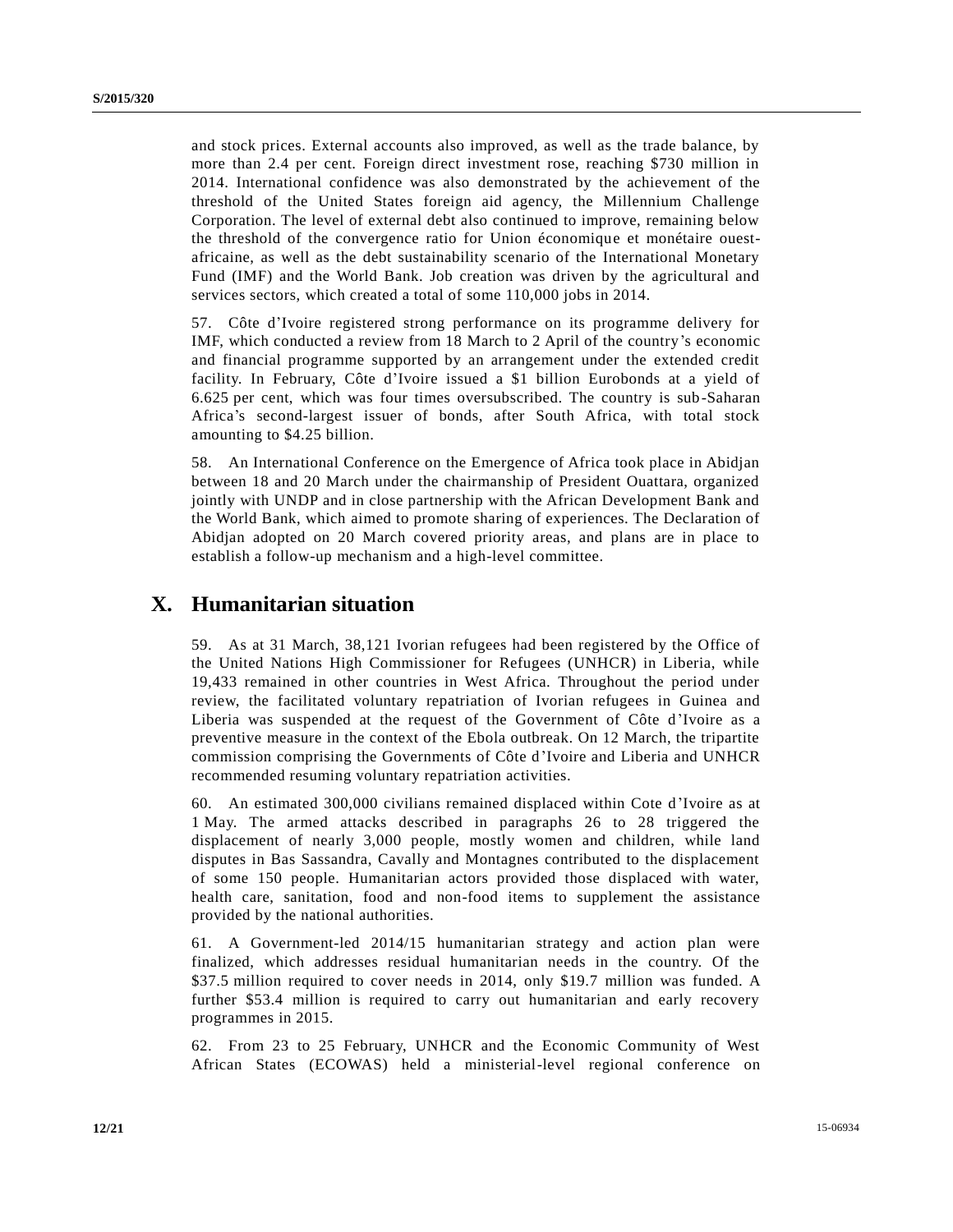and stock prices. External accounts also improved, as well as the trade balance, by more than 2.4 per cent. Foreign direct investment rose, reaching \$730 million in 2014. International confidence was also demonstrated by the achievement of the threshold of the United States foreign aid agency, the Millennium Challenge Corporation. The level of external debt also continued to improve, remaining below the threshold of the convergence ratio for Union économique et monétaire ouestafricaine, as well as the debt sustainability scenario of the International Monetary Fund (IMF) and the World Bank. Job creation was driven by the agricultural and services sectors, which created a total of some 110,000 jobs in 2014.

57. Côte d'Ivoire registered strong performance on its programme delivery for IMF, which conducted a review from 18 March to 2 April of the country's economic and financial programme supported by an arrangement under the extended credit facility. In February, Côte d'Ivoire issued a \$1 billion Eurobonds at a yield of 6.625 per cent, which was four times oversubscribed. The country is sub-Saharan Africa's second-largest issuer of bonds, after South Africa, with total stock amounting to \$4.25 billion.

58. An International Conference on the Emergence of Africa took place in Abidjan between 18 and 20 March under the chairmanship of President Ouattara, organized jointly with UNDP and in close partnership with the African Development Bank and the World Bank, which aimed to promote sharing of experiences. The Declaration of Abidjan adopted on 20 March covered priority areas, and plans are in place to establish a follow-up mechanism and a high-level committee.

# **X. Humanitarian situation**

59. As at 31 March, 38,121 Ivorian refugees had been registered by the Office of the United Nations High Commissioner for Refugees (UNHCR) in Liberia, while 19,433 remained in other countries in West Africa. Throughout the period under review, the facilitated voluntary repatriation of Ivorian refugees in Guinea and Liberia was suspended at the request of the Government of Côte d'Ivoire as a preventive measure in the context of the Ebola outbreak. On 12 March, the tripartite commission comprising the Governments of Côte d'Ivoire and Liberia and UNHCR recommended resuming voluntary repatriation activities.

60. An estimated 300,000 civilians remained displaced within Cote d'Ivoire as at 1 May. The armed attacks described in paragraphs 26 to 28 triggered the displacement of nearly 3,000 people, mostly women and children, while land disputes in Bas Sassandra, Cavally and Montagnes contributed to the displacement of some 150 people. Humanitarian actors provided those displaced with water, health care, sanitation, food and non-food items to supplement the assistance provided by the national authorities.

61. A Government-led 2014/15 humanitarian strategy and action plan were finalized, which addresses residual humanitarian needs in the country. Of the \$37.5 million required to cover needs in 2014, only \$19.7 million was funded. A further \$53.4 million is required to carry out humanitarian and early recovery programmes in 2015.

62. From 23 to 25 February, UNHCR and the Economic Community of West African States (ECOWAS) held a ministerial-level regional conference on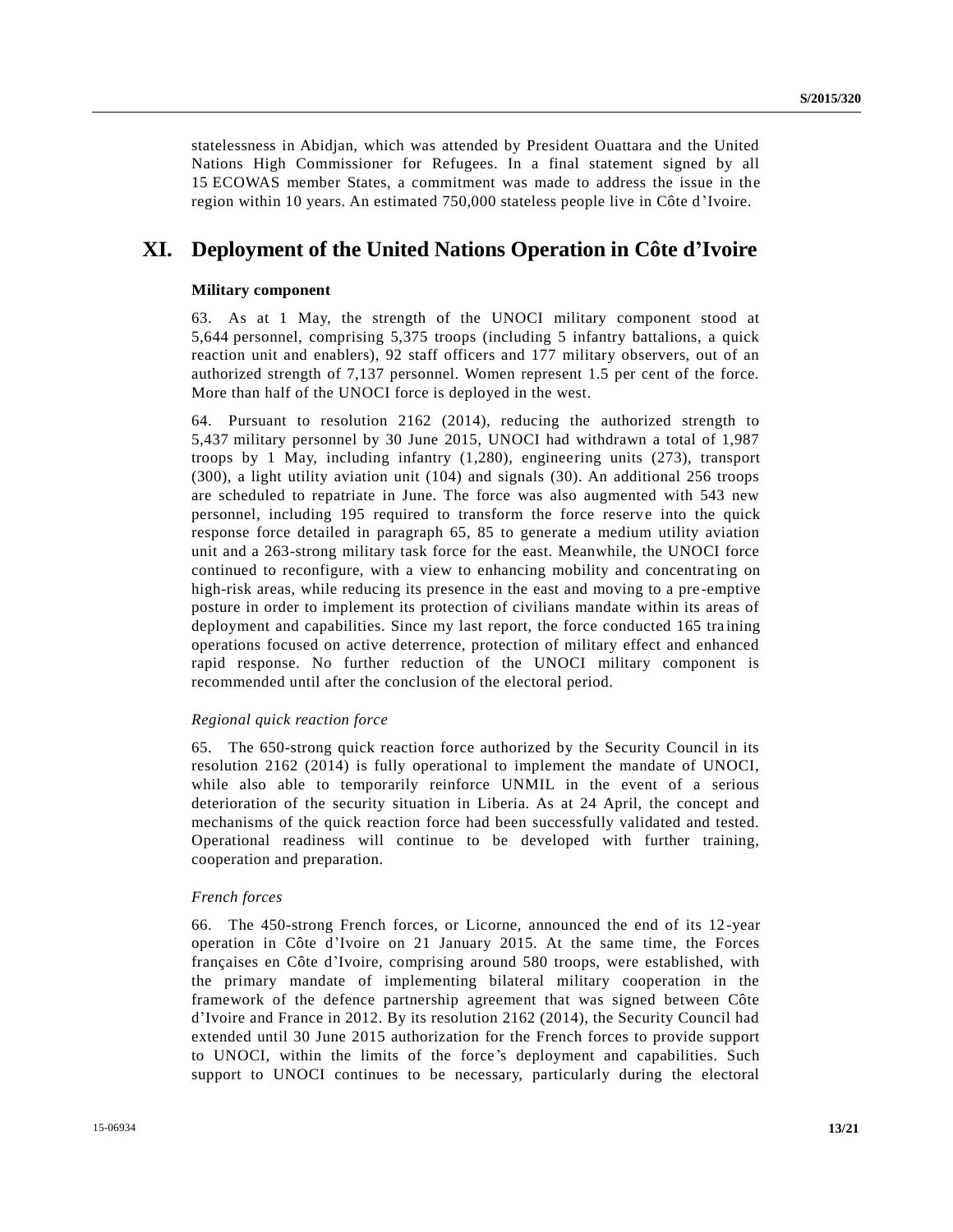statelessness in Abidjan, which was attended by President Ouattara and the United Nations High Commissioner for Refugees. In a final statement signed by all 15 ECOWAS member States, a commitment was made to address the issue in the region within 10 years. An estimated 750,000 stateless people live in Côte d 'Ivoire.

# **XI. Deployment of the United Nations Operation in Côte d'Ivoire**

#### **Military component**

63. As at 1 May, the strength of the UNOCI military component stood at 5,644 personnel, comprising 5,375 troops (including 5 infantry battalions, a quick reaction unit and enablers), 92 staff officers and 177 military observers, out of an authorized strength of 7,137 personnel. Women represent 1.5 per cent of the force. More than half of the UNOCI force is deployed in the west.

64. Pursuant to resolution 2162 (2014), reducing the authorized strength to 5,437 military personnel by 30 June 2015, UNOCI had withdrawn a total of 1,987 troops by 1 May, including infantry (1,280), engineering units (273), transport (300), a light utility aviation unit (104) and signals (30). An additional 256 troops are scheduled to repatriate in June. The force was also augmented with 543 new personnel, including 195 required to transform the force reserve into the quick response force detailed in paragraph 65, 85 to generate a medium utility aviation unit and a 263-strong military task force for the east. Meanwhile, the UNOCI force continued to reconfigure, with a view to enhancing mobility and concentrating on high-risk areas, while reducing its presence in the east and moving to a pre -emptive posture in order to implement its protection of civilians mandate within its areas of deployment and capabilities. Since my last report, the force conducted 165 training operations focused on active deterrence, protection of military effect and enhanced rapid response. No further reduction of the UNOCI military component is recommended until after the conclusion of the electoral period.

#### *Regional quick reaction force*

65. The 650-strong quick reaction force authorized by the Security Council in its resolution 2162 (2014) is fully operational to implement the mandate of UNOCI, while also able to temporarily reinforce UNMIL in the event of a serious deterioration of the security situation in Liberia. As at 24 April, the concept and mechanisms of the quick reaction force had been successfully validated and tested. Operational readiness will continue to be developed with further training, cooperation and preparation.

#### *French forces*

66. The 450-strong French forces, or Licorne, announced the end of its 12-year operation in Côte d'Ivoire on 21 January 2015. At the same time, the Forces françaises en Côte d'Ivoire, comprising around 580 troops, were established, with the primary mandate of implementing bilateral military cooperation in the framework of the defence partnership agreement that was signed between Côte d'Ivoire and France in 2012. By its resolution 2162 (2014), the Security Council had extended until 30 June 2015 authorization for the French forces to provide support to UNOCI, within the limits of the force's deployment and capabilities. Such support to UNOCI continues to be necessary, particularly during the electoral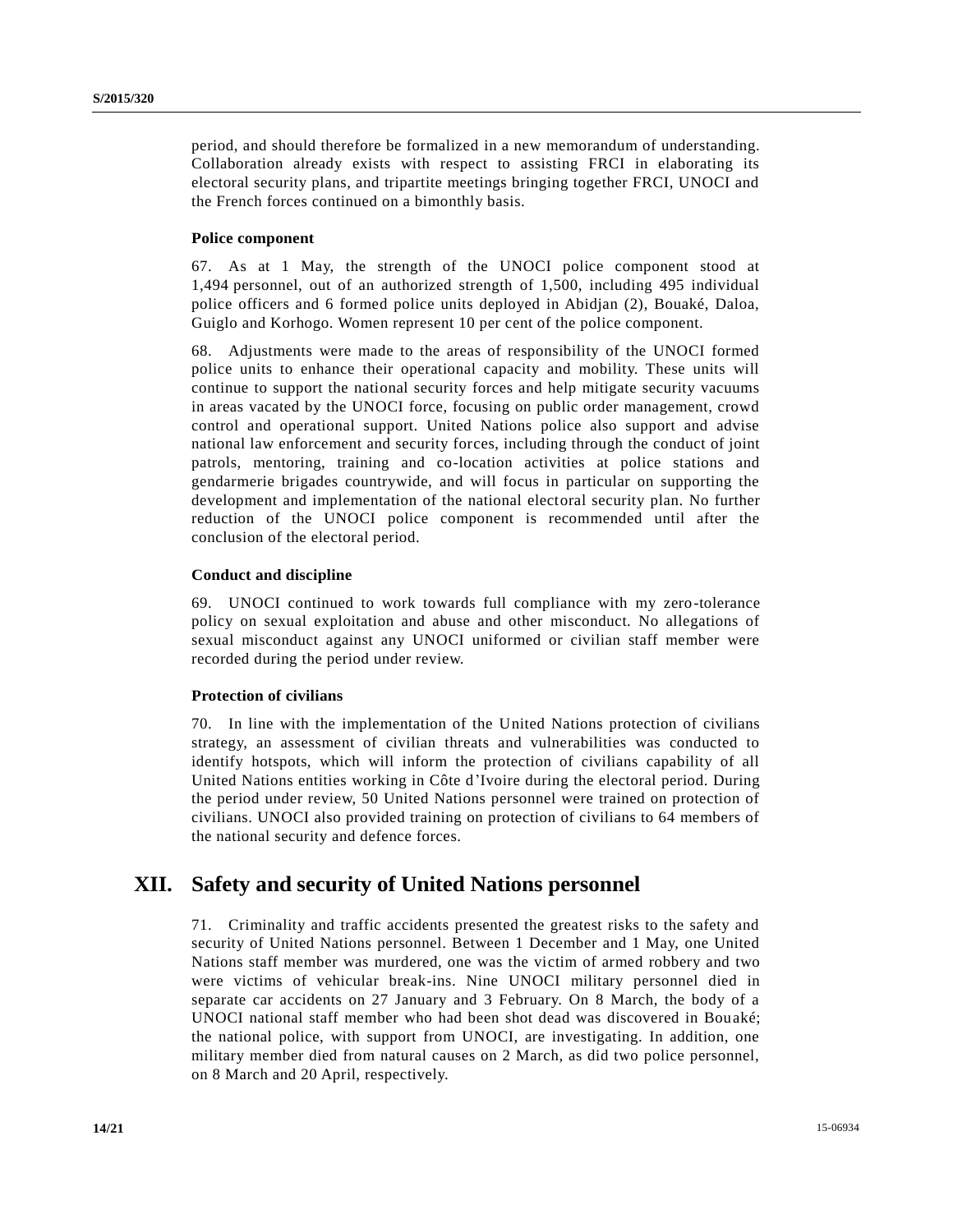period, and should therefore be formalized in a new memorandum of understanding. Collaboration already exists with respect to assisting FRCI in elaborating its electoral security plans, and tripartite meetings bringing together FRCI, UNOCI and the French forces continued on a bimonthly basis.

#### **Police component**

67. As at 1 May, the strength of the UNOCI police component stood at 1,494 personnel, out of an authorized strength of 1,500, including 495 individual police officers and 6 formed police units deployed in Abidjan (2), Bouaké, Daloa, Guiglo and Korhogo. Women represent 10 per cent of the police component.

68. Adjustments were made to the areas of responsibility of the UNOCI formed police units to enhance their operational capacity and mobility. These units will continue to support the national security forces and help mitigate security vacuums in areas vacated by the UNOCI force, focusing on public order management, crowd control and operational support. United Nations police also support and advise national law enforcement and security forces, including through the conduct of joint patrols, mentoring, training and co-location activities at police stations and gendarmerie brigades countrywide, and will focus in particular on supporting the development and implementation of the national electoral security plan. No further reduction of the UNOCI police component is recommended until after the conclusion of the electoral period.

#### **Conduct and discipline**

69. UNOCI continued to work towards full compliance with my zero-tolerance policy on sexual exploitation and abuse and other misconduct. No allegations of sexual misconduct against any UNOCI uniformed or civilian staff member were recorded during the period under review.

#### **Protection of civilians**

70. In line with the implementation of the United Nations protection of civilians strategy, an assessment of civilian threats and vulnerabilities was conducted to identify hotspots, which will inform the protection of civilians capability of all United Nations entities working in Côte d'Ivoire during the electoral period. During the period under review, 50 United Nations personnel were trained on protection of civilians. UNOCI also provided training on protection of civilians to 64 members of the national security and defence forces.

### **XII. Safety and security of United Nations personnel**

71. Criminality and traffic accidents presented the greatest risks to the safety and security of United Nations personnel. Between 1 December and 1 May, one United Nations staff member was murdered, one was the victim of armed robbery and two were victims of vehicular break-ins. Nine UNOCI military personnel died in separate car accidents on 27 January and 3 February. On 8 March, the body of a UNOCI national staff member who had been shot dead was discovered in Bouaké; the national police, with support from UNOCI, are investigating. In addition, one military member died from natural causes on 2 March, as did two police personnel, on 8 March and 20 April, respectively.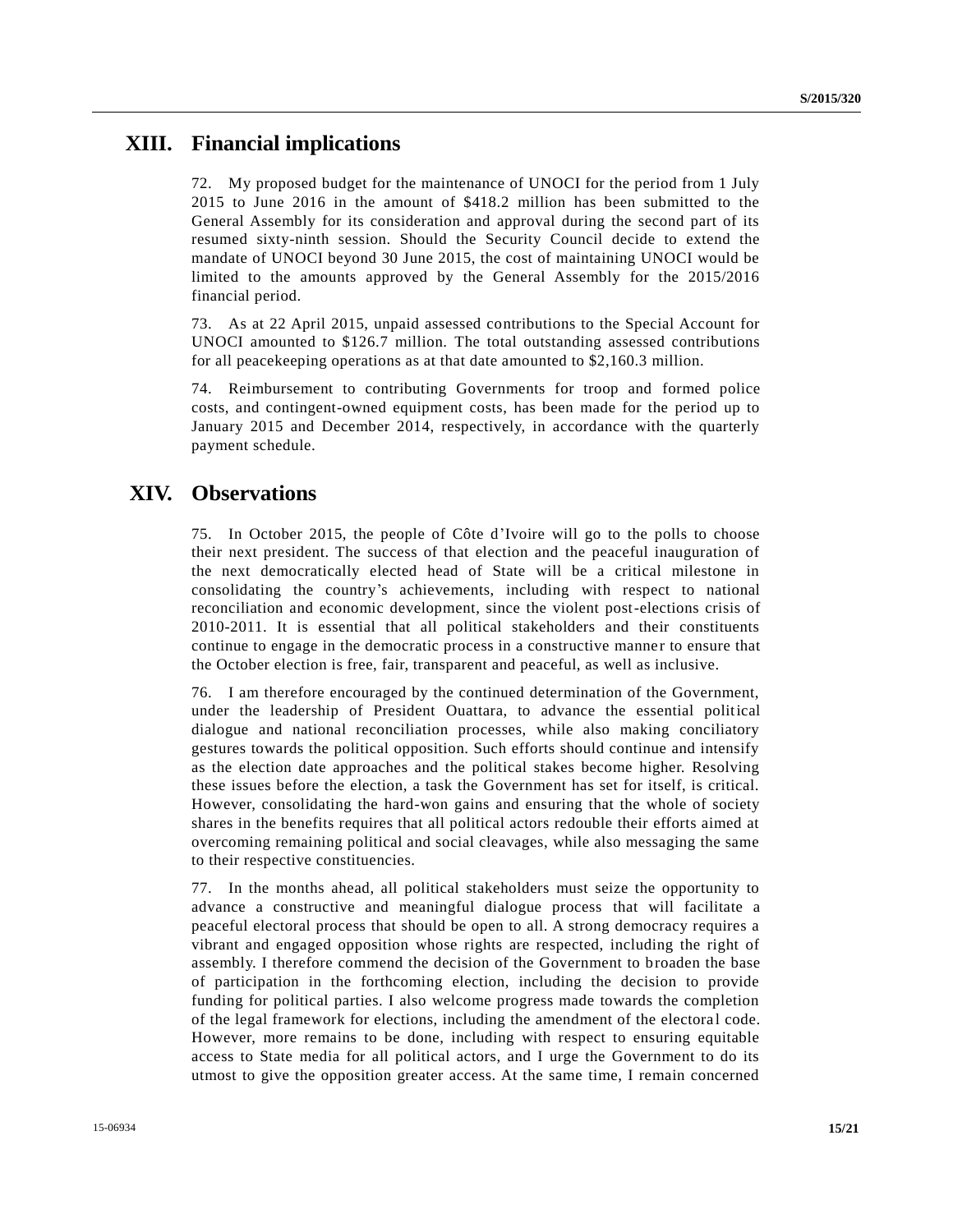### **XIII. Financial implications**

72. My proposed budget for the maintenance of UNOCI for the period from 1 July 2015 to June 2016 in the amount of \$418.2 million has been submitted to the General Assembly for its consideration and approval during the second part of its resumed sixty-ninth session. Should the Security Council decide to extend the mandate of UNOCI beyond 30 June 2015, the cost of maintaining UNOCI would be limited to the amounts approved by the General Assembly for the 2015/2016 financial period.

73. As at 22 April 2015, unpaid assessed contributions to the Special Account for UNOCI amounted to \$126.7 million. The total outstanding assessed contributions for all peacekeeping operations as at that date amounted to \$2,160.3 million.

74. Reimbursement to contributing Governments for troop and formed police costs, and contingent-owned equipment costs, has been made for the period up to January 2015 and December 2014, respectively, in accordance with the quarterly payment schedule.

### **XIV. Observations**

75. In October 2015, the people of Côte d'Ivoire will go to the polls to choose their next president. The success of that election and the peaceful inauguration of the next democratically elected head of State will be a critical milestone in consolidating the country's achievements, including with respect to national reconciliation and economic development, since the violent post-elections crisis of 2010-2011. It is essential that all political stakeholders and their constituents continue to engage in the democratic process in a constructive manner to ensure that the October election is free, fair, transparent and peaceful, as well as inclusive.

76. I am therefore encouraged by the continued determination of the Government, under the leadership of President Ouattara, to advance the essential political dialogue and national reconciliation processes, while also making conciliatory gestures towards the political opposition. Such efforts should continue and intensify as the election date approaches and the political stakes become higher. Resolving these issues before the election, a task the Government has set for itself, is critical. However, consolidating the hard-won gains and ensuring that the whole of society shares in the benefits requires that all political actors redouble their efforts aimed at overcoming remaining political and social cleavages, while also messaging the same to their respective constituencies.

77. In the months ahead, all political stakeholders must seize the opportunity to advance a constructive and meaningful dialogue process that will facilitate a peaceful electoral process that should be open to all. A strong democracy requires a vibrant and engaged opposition whose rights are respected, including the right of assembly. I therefore commend the decision of the Government to broaden the base of participation in the forthcoming election, including the decision to provide funding for political parties. I also welcome progress made towards the completion of the legal framework for elections, including the amendment of the electoral code. However, more remains to be done, including with respect to ensuring equitable access to State media for all political actors, and I urge the Government to do its utmost to give the opposition greater access. At the same time, I remain concerned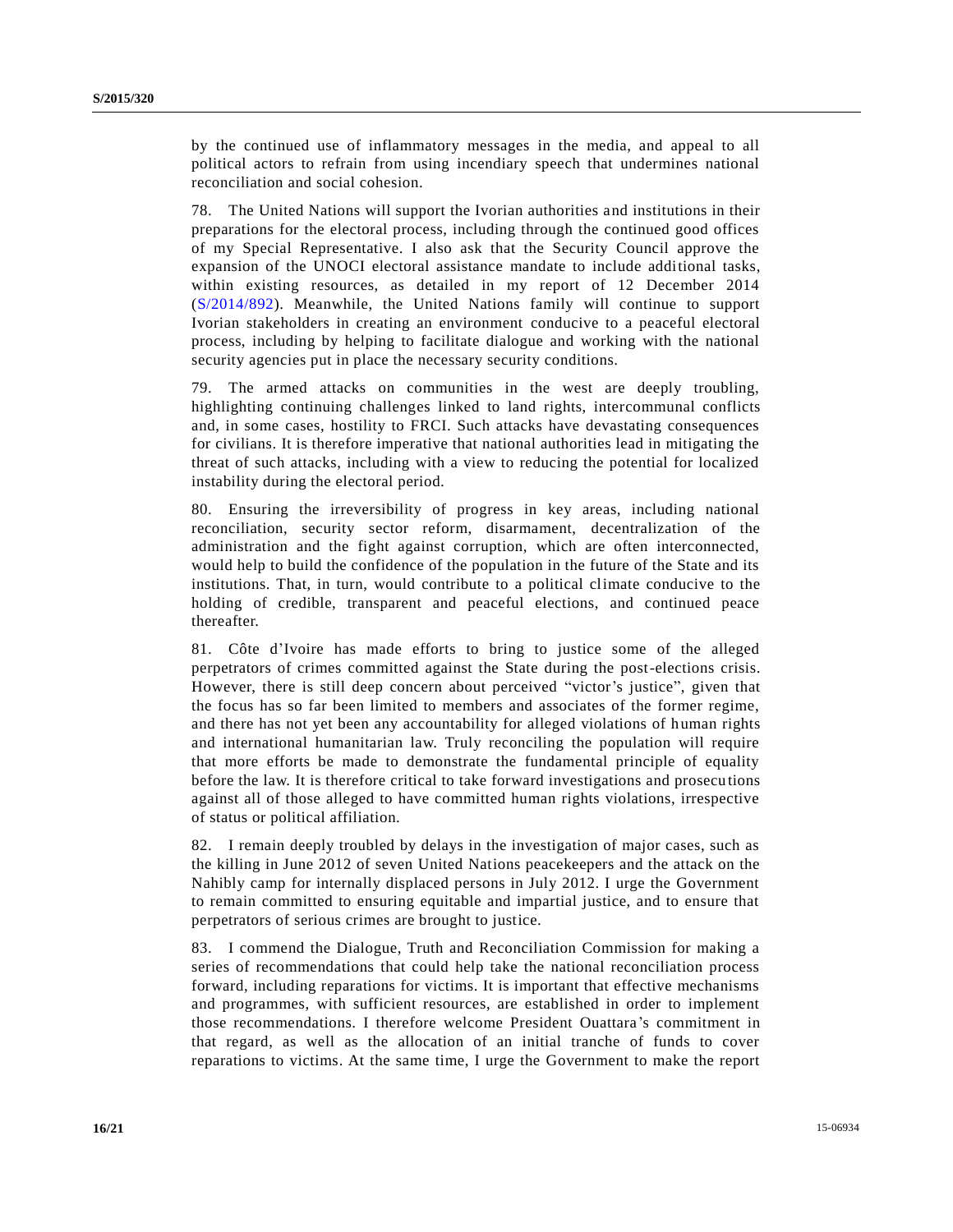by the continued use of inflammatory messages in the media, and appeal to all political actors to refrain from using incendiary speech that undermines national reconciliation and social cohesion.

78. The United Nations will support the Ivorian authorities and institutions in their preparations for the electoral process, including through the continued good offices of my Special Representative. I also ask that the Security Council approve the expansion of the UNOCI electoral assistance mandate to include additional tasks, within existing resources, as detailed in my report of 12 December 2014 [\(S/2014/892\)](http://undocs.org/S/2014/892). Meanwhile, the United Nations family will continue to support Ivorian stakeholders in creating an environment conducive to a peaceful electoral process, including by helping to facilitate dialogue and working with the national security agencies put in place the necessary security conditions.

79. The armed attacks on communities in the west are deeply troubling, highlighting continuing challenges linked to land rights, intercommunal conflicts and, in some cases, hostility to FRCI. Such attacks have devastating consequences for civilians. It is therefore imperative that national authorities lead in mitigating the threat of such attacks, including with a view to reducing the potential for localized instability during the electoral period.

80. Ensuring the irreversibility of progress in key areas, including national reconciliation, security sector reform, disarmament, decentralization of the administration and the fight against corruption, which are often interconnected, would help to build the confidence of the population in the future of the State and its institutions. That, in turn, would contribute to a political climate conducive to the holding of credible, transparent and peaceful elections, and continued peace thereafter.

81. Côte d'Ivoire has made efforts to bring to justice some of the alleged perpetrators of crimes committed against the State during the post-elections crisis. However, there is still deep concern about perceived "victor's justice", given that the focus has so far been limited to members and associates of the former regime, and there has not yet been any accountability for alleged violations of human rights and international humanitarian law. Truly reconciling the population will require that more efforts be made to demonstrate the fundamental principle of equality before the law. It is therefore critical to take forward investigations and prosecu tions against all of those alleged to have committed human rights violations, irrespective of status or political affiliation.

82. I remain deeply troubled by delays in the investigation of major cases, such as the killing in June 2012 of seven United Nations peacekeepers and the attack on the Nahibly camp for internally displaced persons in July 2012. I urge the Government to remain committed to ensuring equitable and impartial justice, and to ensure that perpetrators of serious crimes are brought to justice.

83. I commend the Dialogue, Truth and Reconciliation Commission for making a series of recommendations that could help take the national reconciliation process forward, including reparations for victims. It is important that effective mechanisms and programmes, with sufficient resources, are established in order to implement those recommendations. I therefore welcome President Ouattara's commitment in that regard, as well as the allocation of an initial tranche of funds to cover reparations to victims. At the same time, I urge the Government to make the report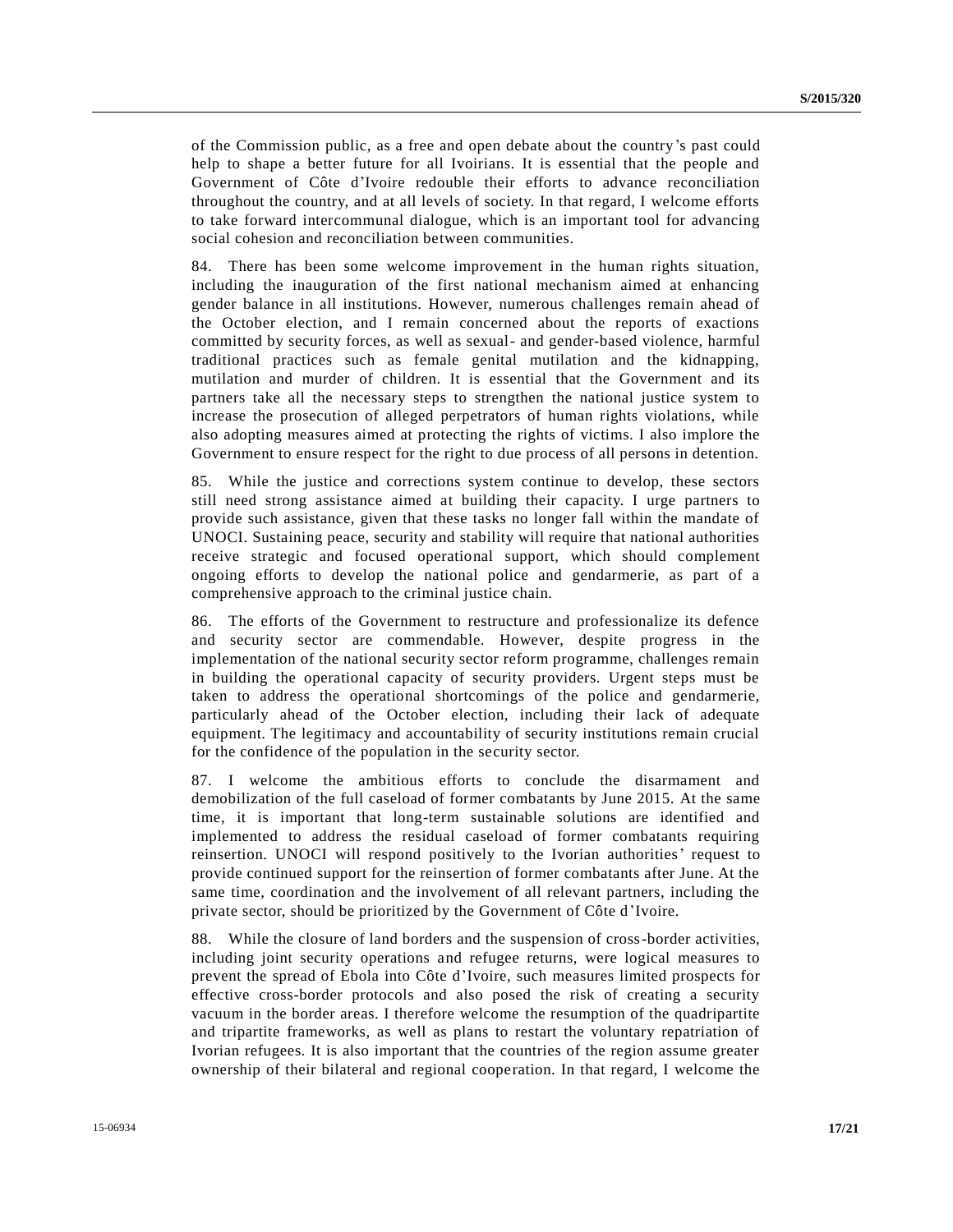of the Commission public, as a free and open debate about the country's past could help to shape a better future for all Ivoirians. It is essential that the people and Government of Côte d'Ivoire redouble their efforts to advance reconciliation throughout the country, and at all levels of society. In that regard, I welcome efforts to take forward intercommunal dialogue, which is an important tool for advancing social cohesion and reconciliation between communities.

84. There has been some welcome improvement in the human rights situation, including the inauguration of the first national mechanism aimed at enhancing gender balance in all institutions. However, numerous challenges remain ahead of the October election, and I remain concerned about the reports of exactions committed by security forces, as well as sexual- and gender-based violence, harmful traditional practices such as female genital mutilation and the kidnapping, mutilation and murder of children. It is essential that the Government and its partners take all the necessary steps to strengthen the national justice system to increase the prosecution of alleged perpetrators of human rights violations, while also adopting measures aimed at protecting the rights of victims. I also implore the Government to ensure respect for the right to due process of all persons in detention.

85. While the justice and corrections system continue to develop, these sectors still need strong assistance aimed at building their capacity. I urge partners to provide such assistance, given that these tasks no longer fall within the mandate of UNOCI. Sustaining peace, security and stability will require that national authorities receive strategic and focused operational support, which should complement ongoing efforts to develop the national police and gendarmerie, as part of a comprehensive approach to the criminal justice chain.

86. The efforts of the Government to restructure and professionalize its defence and security sector are commendable. However, despite progress in the implementation of the national security sector reform programme, challenges remain in building the operational capacity of security providers. Urgent steps must be taken to address the operational shortcomings of the police and gendarmerie, particularly ahead of the October election, including their lack of adequate equipment. The legitimacy and accountability of security institutions remain crucial for the confidence of the population in the security sector.

87. I welcome the ambitious efforts to conclude the disarmament and demobilization of the full caseload of former combatants by June 2015. At the same time, it is important that long-term sustainable solutions are identified and implemented to address the residual caseload of former combatants requiring reinsertion. UNOCI will respond positively to the Ivorian authorities' request to provide continued support for the reinsertion of former combatants after June. At the same time, coordination and the involvement of all relevant partners, including the private sector, should be prioritized by the Government of Côte d'Ivoire.

88. While the closure of land borders and the suspension of cross-border activities, including joint security operations and refugee returns, were logical measures to prevent the spread of Ebola into Côte d'Ivoire, such measures limited prospects for effective cross-border protocols and also posed the risk of creating a security vacuum in the border areas. I therefore welcome the resumption of the quadripartite and tripartite frameworks, as well as plans to restart the voluntary repatriation of Ivorian refugees. It is also important that the countries of the region assume greater ownership of their bilateral and regional cooperation. In that regard, I welcome the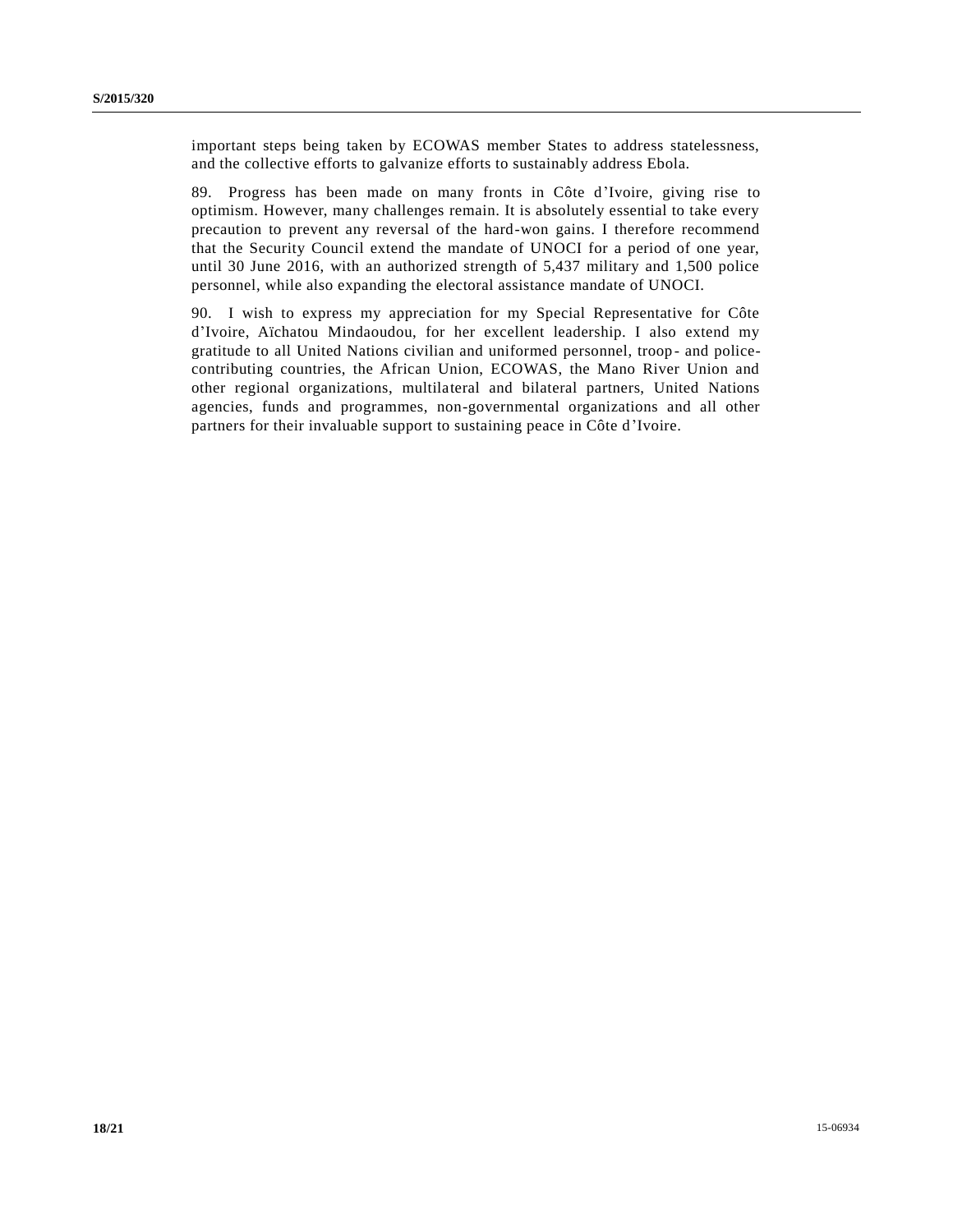important steps being taken by ECOWAS member States to address statelessness, and the collective efforts to galvanize efforts to sustainably address Ebola.

89. Progress has been made on many fronts in Côte d'Ivoire, giving rise to optimism. However, many challenges remain. It is absolutely essential to take every precaution to prevent any reversal of the hard-won gains. I therefore recommend that the Security Council extend the mandate of UNOCI for a period of one year, until 30 June 2016, with an authorized strength of 5,437 military and 1,500 police personnel, while also expanding the electoral assistance mandate of UNOCI.

90. I wish to express my appreciation for my Special Representative for Côte d'Ivoire, Aïchatou Mindaoudou, for her excellent leadership. I also extend my gratitude to all United Nations civilian and uniformed personnel, troop - and policecontributing countries, the African Union, ECOWAS, the Mano River Union and other regional organizations, multilateral and bilateral partners, United Nations agencies, funds and programmes, non-governmental organizations and all other partners for their invaluable support to sustaining peace in Côte d'Ivoire.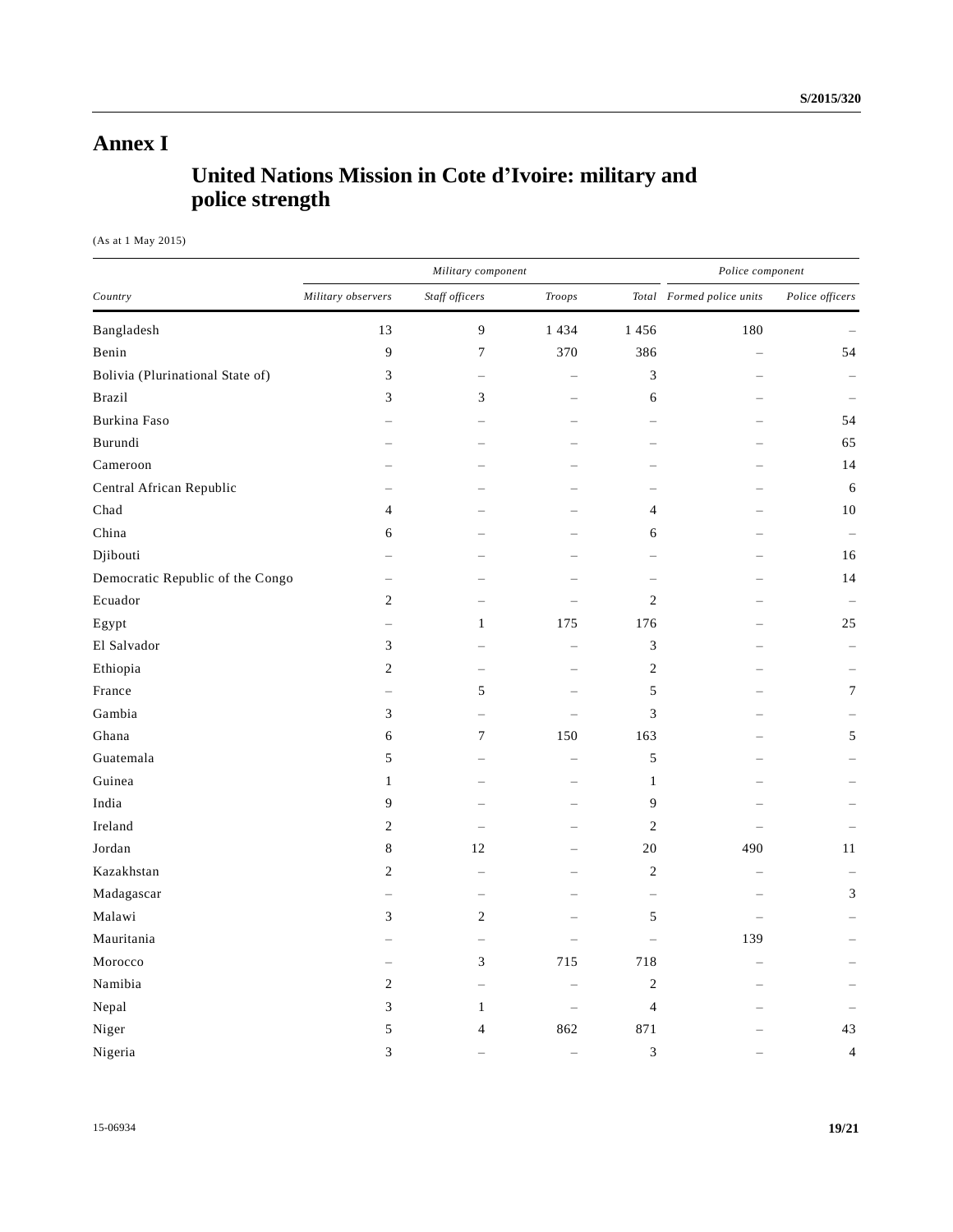# **Annex I**

# **United Nations Mission in Cote d'Ivoire: military and police strength**

(As at 1 May 2015)

| Country                          | Military component       |                          |                          |                          | Police component          |                 |
|----------------------------------|--------------------------|--------------------------|--------------------------|--------------------------|---------------------------|-----------------|
|                                  | Military observers       | Staff officers           | Troops                   |                          | Total Formed police units | Police officers |
| Bangladesh                       | 13                       | 9                        | 1 4 3 4                  | 1456                     | 180                       |                 |
| Benin                            | 9                        | 7                        | 370                      | 386                      |                           | 54              |
| Bolivia (Plurinational State of) | 3                        |                          |                          | 3                        |                           |                 |
| <b>Brazil</b>                    | 3                        | 3                        |                          | 6                        |                           |                 |
| Burkina Faso                     |                          |                          |                          |                          |                           | 54              |
| Burundi                          |                          |                          |                          |                          |                           | 65              |
| Cameroon                         |                          |                          |                          |                          |                           | 14              |
| Central African Republic         |                          |                          |                          |                          |                           | 6               |
| Chad                             | 4                        |                          |                          | 4                        |                           | 10              |
| China                            | 6                        |                          |                          | 6                        |                           |                 |
| Djibouti                         |                          |                          |                          |                          |                           | 16              |
| Democratic Republic of the Congo |                          |                          |                          | $\overline{\phantom{a}}$ |                           | 14              |
| Ecuador                          | $\sqrt{2}$               |                          |                          | $\sqrt{2}$               |                           |                 |
| Egypt                            | $\overline{\phantom{0}}$ | $\mathbf{1}$             | 175                      | 176                      |                           | 25              |
| El Salvador                      | 3                        |                          | $\overline{\phantom{0}}$ | $\mathfrak{Z}$           |                           |                 |
| Ethiopia                         | $\sqrt{2}$               |                          |                          | $\sqrt{2}$               |                           |                 |
| France                           |                          | 5                        |                          | $\mathfrak s$            |                           | $\tau$          |
| Gambia                           | $\mathfrak{Z}$           |                          |                          | 3                        |                           |                 |
| Ghana                            | 6                        | 7                        | 150                      | 163                      |                           | 5               |
| Guatemala                        | 5                        |                          |                          | $\mathfrak s$            |                           |                 |
| Guinea                           | $\mathbf{1}$             |                          |                          | $\mathbf{1}$             |                           |                 |
| India                            | 9                        |                          |                          | 9                        |                           |                 |
| Ireland                          | 2                        |                          |                          | $\overline{c}$           |                           |                 |
| Jordan                           | 8                        | 12                       |                          | 20                       | 490                       | 11              |
| Kazakhstan                       | $\overline{c}$           |                          |                          | $\sqrt{2}$               |                           |                 |
| Madagascar                       |                          |                          |                          | -                        |                           | 3               |
| Malawi                           | 3                        | 2                        |                          | $\mathfrak s$            |                           |                 |
| Mauritania                       |                          | $\overline{\phantom{0}}$ | $\overline{\phantom{0}}$ | -                        | 139                       |                 |
| Morocco                          | $\overline{\phantom{0}}$ | 3                        | 715                      | 718                      |                           |                 |
| Namibia                          | 2                        | $\equiv$                 | $\equiv$                 | $\sqrt{2}$               |                           |                 |
| Nepal                            | 3                        | $\mathbf{1}$             | $\sim$                   | $\overline{4}$           |                           |                 |
| Niger                            | $\mathfrak s$            | $\overline{\mathcal{L}}$ | 862                      | 871                      |                           | 43              |
| Nigeria                          | 3                        |                          | $\equiv$                 | 3                        |                           | $\overline{4}$  |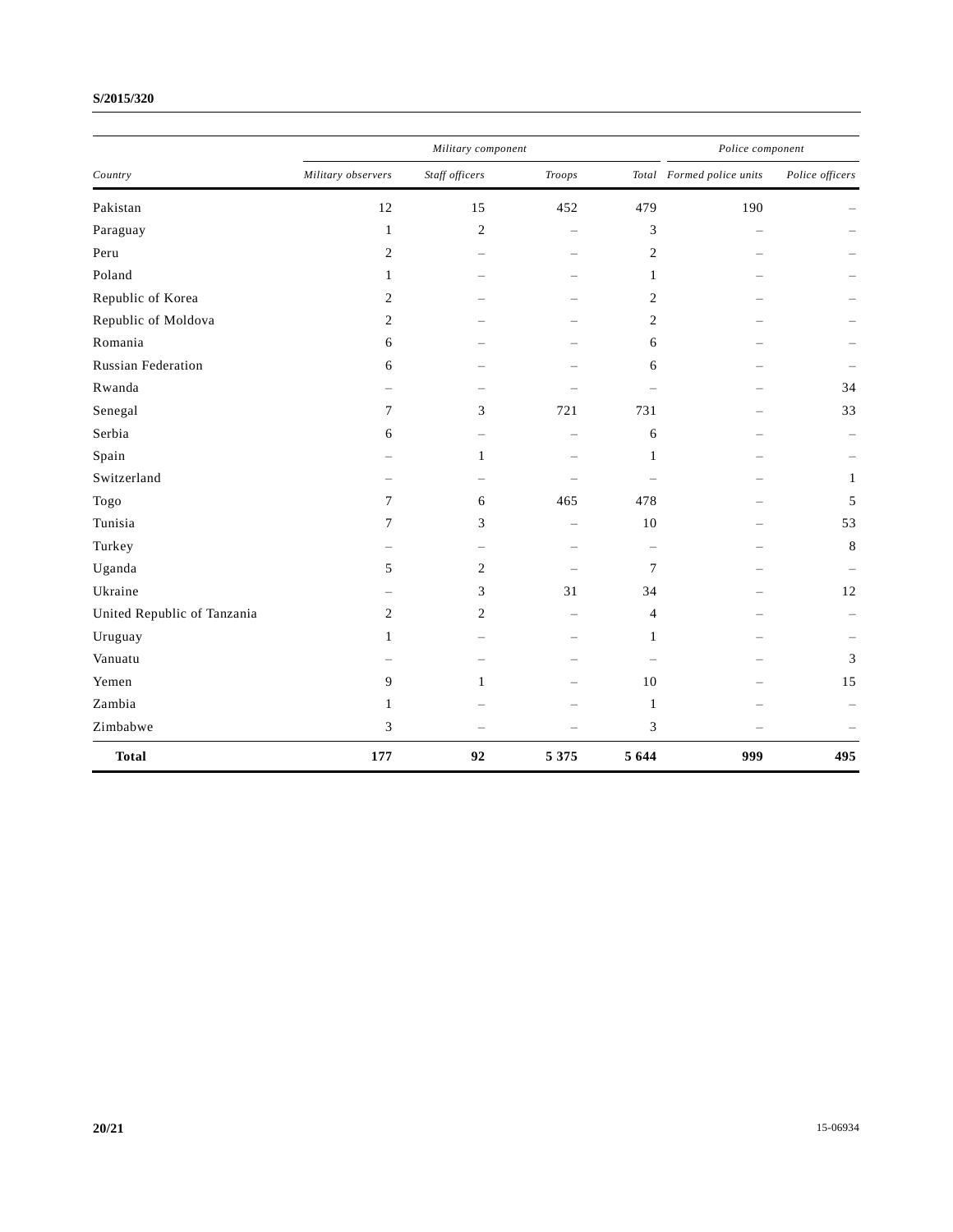### **S/2015/320**

| Country                     |                    | Military component       |                          |                          |                           | Police component |  |
|-----------------------------|--------------------|--------------------------|--------------------------|--------------------------|---------------------------|------------------|--|
|                             | Military observers | Staff officers           | <b>Troops</b>            |                          | Total Formed police units | Police officers  |  |
| Pakistan                    | 12                 | 15                       | 452                      | 479                      | 190                       |                  |  |
| Paraguay                    | $\mathbf{1}$       | $\overline{c}$           | $=$                      | 3                        | $\sim$                    |                  |  |
| Peru                        | $\overline{c}$     |                          |                          | 2                        |                           |                  |  |
| Poland                      | $\mathbf{1}$       |                          | $\equiv$                 | $\mathbf{1}$             |                           |                  |  |
| Republic of Korea           | 2                  |                          |                          | $\overline{c}$           |                           |                  |  |
| Republic of Moldova         | $\overline{c}$     |                          | $\overline{\phantom{0}}$ | $\overline{c}$           |                           |                  |  |
| Romania                     | 6                  |                          |                          | 6                        |                           |                  |  |
| <b>Russian Federation</b>   | 6                  |                          |                          | 6                        |                           |                  |  |
| Rwanda                      |                    |                          |                          | $\overline{\phantom{0}}$ |                           | 34               |  |
| Senegal                     | 7                  | 3                        | 721                      | 731                      |                           | 33               |  |
| Serbia                      | 6                  | $\equiv$                 | $\overline{\phantom{m}}$ | 6                        |                           |                  |  |
| Spain                       |                    | $\mathbf{1}$             | -                        | $\mathbf{1}$             |                           |                  |  |
| Switzerland                 |                    | $\overline{\phantom{0}}$ |                          | $\sim$                   |                           | $\mathbf{1}$     |  |
| Togo                        | 7                  | 6                        | 465                      | 478                      |                           | 5                |  |
| Tunisia                     | 7                  | 3                        | $\equiv$                 | 10                       |                           | 53               |  |
| Turkey                      |                    | $\equiv$                 | $\sim$                   | $\qquad \qquad -$        |                           | 8                |  |
| Uganda                      | 5                  | $\overline{c}$           |                          | $7\phantom{.0}$          |                           |                  |  |
| Ukraine                     |                    | 3                        | 31                       | 34                       |                           | 12               |  |
| United Republic of Tanzania | 2                  | $\overline{c}$           | $\overline{\phantom{0}}$ | $\overline{4}$           |                           |                  |  |
| Uruguay                     | 1                  | $\equiv$                 |                          | $\mathbf{1}$             |                           |                  |  |
| Vanuatu                     |                    |                          |                          | $\overline{\phantom{a}}$ |                           | 3                |  |
| Yemen                       | 9                  | $\mathbf{1}$             |                          | 10                       |                           | 15               |  |
| Zambia                      | $\mathbf{1}$       |                          |                          | $\mathbf{1}$             |                           |                  |  |
| Zimbabwe                    | 3                  |                          |                          | 3                        |                           |                  |  |
| <b>Total</b>                | 177                | 92                       | 5 3 7 5                  | 5 6 4 4                  | 999                       | 495              |  |